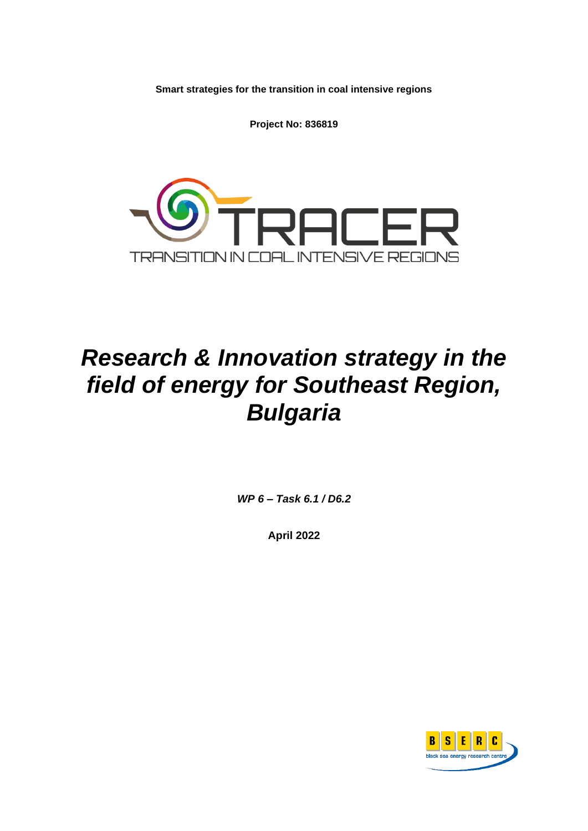**Smart strategies for the transition in coal intensive regions**

**Project No: 836819**



# *Research & Innovation strategy in the field of energy for Southeast Region, Bulgaria*

*WP 6 – Task 6.1 / D6.2*

**April 2022**

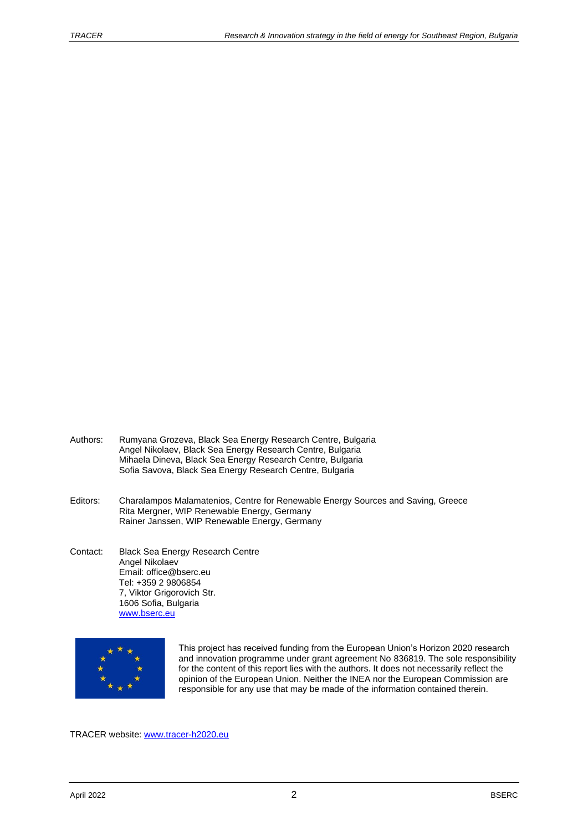- Authors: Rumyana Grozeva, Black Sea Energy Research Centre, Bulgaria Angel Nikolaev, Black Sea Energy Research Centre, Bulgaria Mihaela Dineva, Black Sea Energy Research Centre, Bulgaria Sofia Savova, Black Sea Energy Research Centre, Bulgaria
- Editors: Charalampos Malamatenios, Centre for Renewable Energy Sources and Saving, Greece Rita Mergner, WIP Renewable Energy, Germany Rainer Janssen, WIP Renewable Energy, Germany
- Contact: Black Sea Energy Research Centre Angel Nikolaev Email: office@bserc.eu Tel: +359 2 9806854 7, Viktor Grigorovich Str. 1606 Sofia, Bulgaria [www.bserc.eu](http://www.bserc.eu/)



This project has received funding from the European Union's Horizon 2020 research and innovation programme under grant agreement No 836819. The sole responsibility for the content of this report lies with the authors. It does not necessarily reflect the opinion of the European Union. Neither the INEA nor the European Commission are responsible for any use that may be made of the information contained therein.

TRACER website: [www.tracer-h2020.eu](http://www.tracer-h2020.eu/)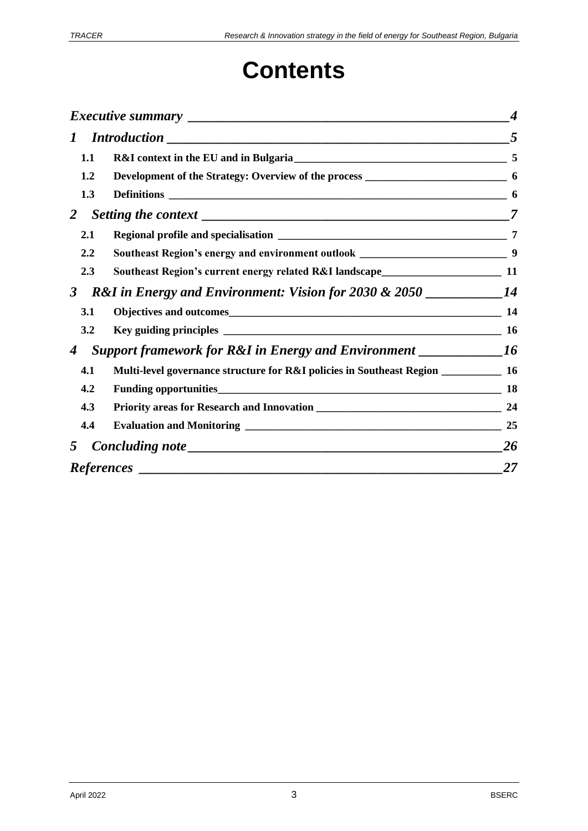# **Contents**

|                                                                                                     |                                                                                      | $\boldsymbol{4}$ |
|-----------------------------------------------------------------------------------------------------|--------------------------------------------------------------------------------------|------------------|
| $\bm{l}$                                                                                            |                                                                                      |                  |
| 1.1                                                                                                 |                                                                                      |                  |
| 1.2                                                                                                 |                                                                                      |                  |
| 1.3                                                                                                 |                                                                                      |                  |
| 2                                                                                                   |                                                                                      | $\overline{7}$   |
| 2.1                                                                                                 |                                                                                      |                  |
| 2.2                                                                                                 | Southeast Region's energy and environment outlook _________________________________9 |                  |
| 2.3                                                                                                 | Southeast Region's current energy related R&I landscape__________________________ 11 |                  |
| $\mathbf{3}$                                                                                        |                                                                                      |                  |
| 3.1                                                                                                 |                                                                                      |                  |
| 3.2                                                                                                 |                                                                                      |                  |
| <b>Support framework for R&amp;I in Energy and Environment</b> ______________16<br>$\boldsymbol{4}$ |                                                                                      |                  |
| 4.1                                                                                                 | Multi-level governance structure for R&I policies in Southeast Region ___________ 16 |                  |
| 4.2                                                                                                 |                                                                                      | <b>18</b>        |
| 4.3                                                                                                 |                                                                                      |                  |
| 4.4                                                                                                 |                                                                                      |                  |
| 5                                                                                                   |                                                                                      | <b>26</b>        |
|                                                                                                     |                                                                                      | 27               |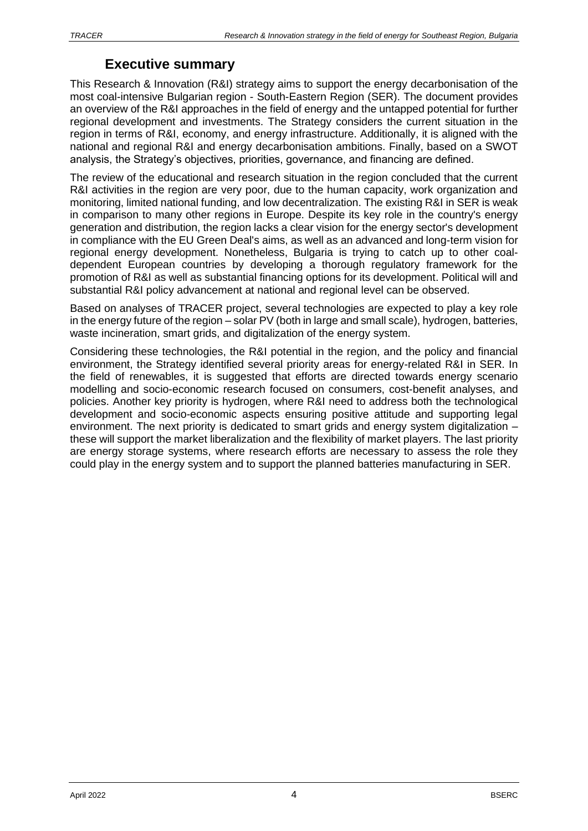# **Executive summary**

<span id="page-3-0"></span>This Research & Innovation (R&I) strategy aims to support the energy decarbonisation of the most coal-intensive Bulgarian region - South-Eastern Region (SER). The document provides an overview of the R&I approaches in the field of energy and the untapped potential for further regional development and investments. The Strategy considers the current situation in the region in terms of R&I, economy, and energy infrastructure. Additionally, it is aligned with the national and regional R&I and energy decarbonisation ambitions. Finally, based on a SWOT analysis, the Strategy's objectives, priorities, governance, and financing are defined.

The review of the educational and research situation in the region concluded that the current R&I activities in the region are very poor, due to the human capacity, work organization and monitoring, limited national funding, and low decentralization. The existing R&I in SER is weak in comparison to many other regions in Europe. Despite its key role in the country's energy generation and distribution, the region lacks a clear vision for the energy sector's development in compliance with the EU Green Deal's aims, as well as an advanced and long-term vision for regional energy development. Nonetheless, Bulgaria is trying to catch up to other coaldependent European countries by developing a thorough regulatory framework for the promotion of R&I as well as substantial financing options for its development. Political will and substantial R&I policy advancement at national and regional level can be observed.

Based on analyses of TRACER project, several technologies are expected to play a key role in the energy future of the region – solar PV (both in large and small scale), hydrogen, batteries, waste incineration, smart grids, and digitalization of the energy system.

Considering these technologies, the R&I potential in the region, and the policy and financial environment, the Strategy identified several priority areas for energy-related R&I in SER. In the field of renewables, it is suggested that efforts are directed towards energy scenario modelling and socio-economic research focused on consumers, cost-benefit analyses, and policies. Another key priority is hydrogen, where R&I need to address both the technological development and socio-economic aspects ensuring positive attitude and supporting legal environment. The next priority is dedicated to smart grids and energy system digitalization – these will support the market liberalization and the flexibility of market players. The last priority are energy storage systems, where research efforts are necessary to assess the role they could play in the energy system and to support the planned batteries manufacturing in SER.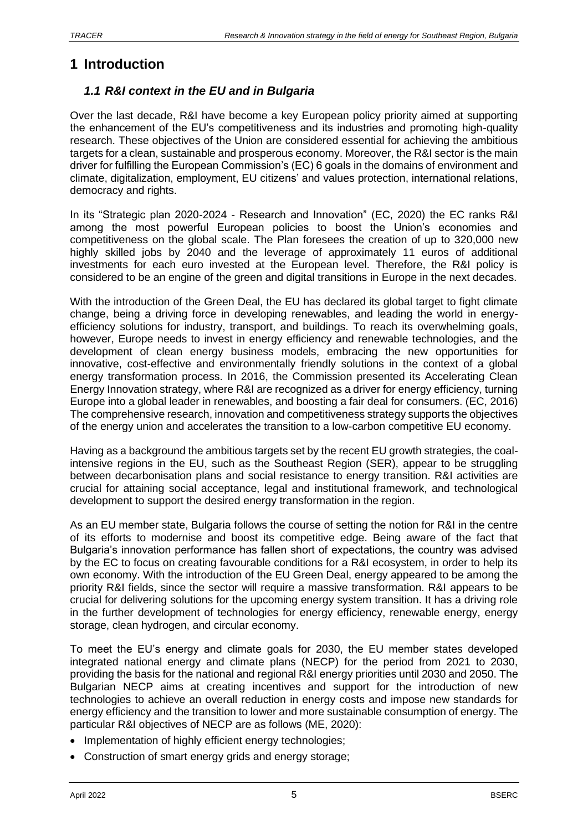# <span id="page-4-0"></span>**1 Introduction**

# <span id="page-4-1"></span>*1.1 R&I context in the EU and in Bulgaria*

Over the last decade, R&I have become a key European policy priority aimed at supporting the enhancement of the EU's competitiveness and its industries and promoting high-quality research. These objectives of the Union are considered essential for achieving the ambitious targets for a clean, sustainable and prosperous economy. Moreover, the R&I sector is the main driver for fulfilling the European Commission's (EC) 6 goals in the domains of environment and climate, digitalization, employment, EU citizens' and values protection, international relations, democracy and rights.

In its "Strategic plan 2020-2024 - Research and Innovation" (EC, 2020) the EC ranks R&I among the most powerful European policies to boost the Union's economies and competitiveness on the global scale. The Plan foresees the creation of up to 320,000 new highly skilled jobs by 2040 and the leverage of approximately 11 euros of additional investments for each euro invested at the European level. Therefore, the R&I policy is considered to be an engine of the green and digital transitions in Europe in the next decades.

With the introduction of the Green Deal, the EU has declared its global target to fight climate change, being a driving force in developing renewables, and leading the world in energyefficiency solutions for industry, transport, and buildings. To reach its overwhelming goals, however, Europe needs to invest in energy efficiency and renewable technologies, and the development of clean energy business models, embracing the new opportunities for innovative, cost-effective and environmentally friendly solutions in the context of a global energy transformation process. In 2016, the Commission presented its Accelerating Clean Energy Innovation strategy, where R&I are recognized as a driver for energy efficiency, turning Europe into a global leader in renewables, and boosting a fair deal for consumers. (EC, 2016) The comprehensive research, innovation and competitiveness strategy supports the objectives of the energy union and accelerates the transition to a low-carbon competitive EU economy.

Having as a background the ambitious targets set by the recent EU growth strategies, the coalintensive regions in the EU, such as the Southeast Region (SER), appear to be struggling between decarbonisation plans and social resistance to energy transition. R&I activities are crucial for attaining social acceptance, legal and institutional framework, and technological development to support the desired energy transformation in the region.

As an EU member state, Bulgaria follows the course of setting the notion for R&I in the centre of its efforts to modernise and boost its competitive edge. Being aware of the fact that Bulgaria's innovation performance has fallen short of expectations, the country was advised by the EC to focus on creating favourable conditions for a R&I ecosystem, in order to help its own economy. With the introduction of the EU Green Deal, energy appeared to be among the priority R&I fields, since the sector will require a massive transformation. R&I appears to be crucial for delivering solutions for the upcoming energy system transition. It has a driving role in the further development of technologies for energy efficiency, renewable energy, energy storage, clean hydrogen, and circular economy.

To meet the EU's energy and climate goals for 2030, the EU member states developed integrated national energy and climate plans (NECP) for the period from 2021 to 2030, providing the basis for the national and regional R&I energy priorities until 2030 and 2050. The Bulgarian NECP aims at creating incentives and support for the introduction of new technologies to achieve an overall reduction in energy costs and impose new standards for energy efficiency and the transition to lower and more sustainable consumption of energy. The particular R&I objectives of NECP are as follows (ME, 2020):

- Implementation of highly efficient energy technologies;
- Construction of smart energy grids and energy storage;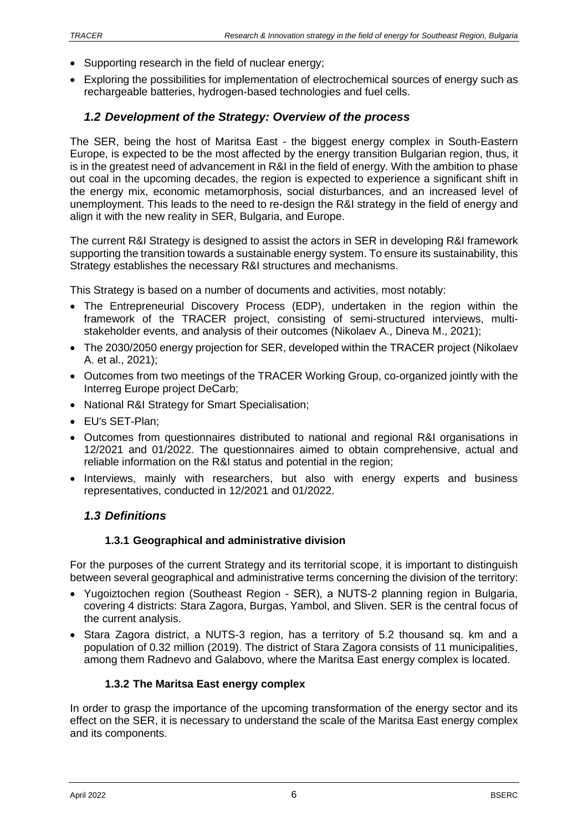- Supporting research in the field of nuclear energy;
- Exploring the possibilities for implementation of electrochemical sources of energy such as rechargeable batteries, hydrogen-based technologies and fuel cells.

# <span id="page-5-0"></span>*1.2 Development of the Strategy: Overview of the process*

The SER, being the host of Maritsa East - the biggest energy complex in South-Eastern Europe, is expected to be the most affected by the energy transition Bulgarian region, thus, it is in the greatest need of advancement in R&I in the field of energy. With the ambition to phase out coal in the upcoming decades, the region is expected to experience a significant shift in the energy mix, economic metamorphosis, social disturbances, and an increased level of unemployment. This leads to the need to re-design the R&I strategy in the field of energy and align it with the new reality in SER, Bulgaria, and Europe.

The current R&I Strategy is designed to assist the actors in SER in developing R&I framework supporting the transition towards a sustainable energy system. To ensure its sustainability, this Strategy establishes the necessary R&I structures and mechanisms.

This Strategy is based on a number of documents and activities, most notably:

- The Entrepreneurial Discovery Process (EDP), undertaken in the region within the framework of the TRACER project, consisting of semi-structured interviews, multistakeholder events, and analysis of their outcomes (Nikolaev A., Dineva M., 2021);
- The 2030/2050 energy projection for SER, developed within the TRACER project (Nikolaev A. et al., 2021);
- Outcomes from two meetings of the TRACER Working Group, co-organized jointly with the Interreg Europe project DeCarb;
- National R&I Strategy for Smart Specialisation;
- EU's SET-Plan;
- Outcomes from questionnaires distributed to national and regional R&I organisations in 12/2021 and 01/2022. The questionnaires aimed to obtain comprehensive, actual and reliable information on the R&I status and potential in the region;
- Interviews, mainly with researchers, but also with energy experts and business representatives, conducted in 12/2021 and 01/2022.

### <span id="page-5-1"></span>*1.3 Definitions*

### **1.3.1 Geographical and administrative division**

For the purposes of the current Strategy and its territorial scope, it is important to distinguish between several geographical and administrative terms concerning the division of the territory:

- Yugoiztochen region (Southeast Region SER), a NUTS-2 planning region in Bulgaria, covering 4 districts: Stara Zagora, Burgas, Yambol, and Sliven. SER is the central focus of the current analysis.
- Stara Zagora district, a NUTS-3 region, has a territory of 5.2 thousand sq. km and a population of 0.32 million (2019). The district of Stara Zagora consists of 11 municipalities, among them Radnevo and Galabovo, where the Maritsa East energy complex is located.

### **1.3.2 The Maritsa East energy complex**

In order to grasp the importance of the upcoming transformation of the energy sector and its effect on the SER, it is necessary to understand the scale of the Maritsa East energy complex and its components.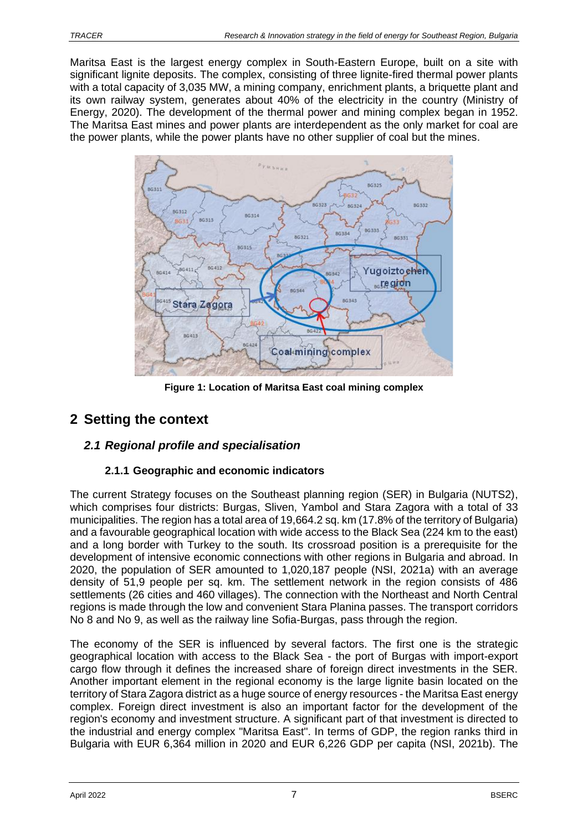Maritsa East is the largest energy complex in South-Eastern Europe, built on a site with significant lignite deposits. The complex, consisting of three lignite-fired thermal power plants with a total capacity of 3,035 MW, a mining company, enrichment plants, a briquette plant and its own railway system, generates about 40% of the electricity in the country (Ministry of Energy, 2020). The development of the thermal power and mining complex began in 1952. The Maritsa East mines and power plants are interdependent as the only market for coal are the power plants, while the power plants have no other supplier of coal but the mines.



**Figure 1: Location of Maritsa East coal mining complex**

# <span id="page-6-0"></span>**2 Setting the context**

# <span id="page-6-1"></span>*2.1 Regional profile and specialisation*

# **2.1.1 Geographic and economic indicators**

The current Strategy focuses on the Southeast planning region (SER) in Bulgaria (NUTS2), which comprises four districts: Burgas, Sliven, Yambol and Stara Zagora with a total of 33 municipalities. The region has a total area of 19,664.2 sq. km (17.8% of the territory of Bulgaria) and a favourable geographical location with wide access to the Black Sea (224 km to the east) and a long border with Turkey to the south. Its crossroad position is a prerequisite for the development of intensive economic connections with other regions in Bulgaria and abroad. In 2020, the population of SER amounted to 1,020,187 people (NSI, 2021a) with an average density of 51,9 people per sq. km. The settlement network in the region consists of 486 settlements (26 cities and 460 villages). The connection with the Northeast and North Central regions is made through the low and convenient Stara Planina passes. The transport corridors No 8 and No 9, as well as the railway line Sofia-Burgas, pass through the region.

The economy of the SER is influenced by several factors. The first one is the strategic geographical location with access to the Black Sea - the port of Burgas with import-export cargo flow through it defines the increased share of foreign direct investments in the SER. Another important element in the regional economy is the large lignite basin located on the territory of Stara Zagora district as a huge source of energy resources - the Maritsa East energy complex. Foreign direct investment is also an important factor for the development of the region's economy and investment structure. A significant part of that investment is directed to the industrial and energy complex "Maritsa East". In terms of GDP, the region ranks third in Bulgaria with EUR 6,364 million in 2020 and EUR 6,226 GDP per capita (NSI, 2021b). The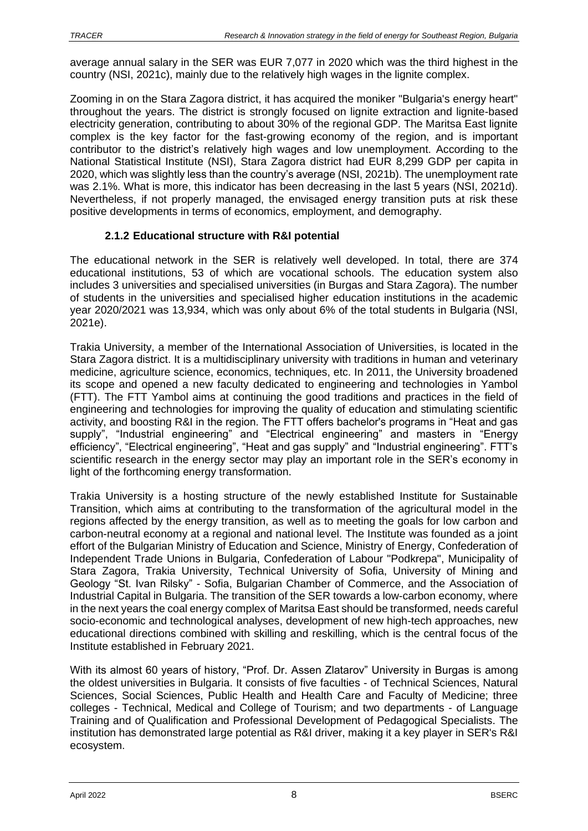average annual salary in the SER was EUR 7,077 in 2020 which was the third highest in the country (NSI, 2021c), mainly due to the relatively high wages in the lignite complex.

Zooming in on the Stara Zagora district, it has acquired the moniker "Bulgaria's energy heart" throughout the years. The district is strongly focused on lignite extraction and lignite-based electricity generation, contributing to about 30% of the regional GDP. The Maritsa East lignite complex is the key factor for the fast-growing economy of the region, and is important contributor to the district's relatively high wages and low unemployment. According to the National Statistical Institute (NSI), Stara Zagora district had EUR 8,299 GDP per capita in 2020, which was slightly less than the country's average (NSI, 2021b). The unemployment rate was 2.1%. What is more, this indicator has been decreasing in the last 5 years (NSI, 2021d). Nevertheless, if not properly managed, the envisaged energy transition puts at risk these positive developments in terms of economics, employment, and demography.

# **2.1.2 Educational structure with R&I potential**

The educational network in the SER is relatively well developed. In total, there are 374 educational institutions, 53 of which are vocational schools. The education system also includes 3 universities and specialised universities (in Burgas and Stara Zagora). The number of students in the universities and specialised higher education institutions in the academic year 2020/2021 was 13,934, which was only about 6% of the total students in Bulgaria (NSI, 2021e).

Trakia University, a member of the International Association of Universities, is located in the Stara Zagora district. It is a multidisciplinary university with traditions in human and veterinary medicine, agriculture science, economics, techniques, etc. In 2011, the University broadened its scope and opened a new faculty dedicated to engineering and technologies in Yambol (FTT). The FTT Yambol aims at continuing the good traditions and practices in the field of engineering and technologies for improving the quality of education and stimulating scientific activity, and boosting R&I in the region. The FTT offers bachelor's programs in "Heat and gas supply", "Industrial engineering" and "Electrical engineering" and masters in "Energy efficiency", "Electrical engineering", "Heat and gas supply" and "Industrial engineering". FTT's scientific research in the energy sector may play an important role in the SER's economy in light of the forthcoming energy transformation.

Trakia University is a hosting structure of the newly established Institute for Sustainable Transition, which aims at contributing to the transformation of the agricultural model in the regions affected by the energy transition, as well as to meeting the goals for low carbon and carbon-neutral economy at a regional and national level. The Institute was founded as a joint effort of the Bulgarian Ministry of Education and Science, Ministry of Energy, Confederation of Independent Trade Unions in Bulgaria, Confederation of Labour "Podkrepa", Municipality of Stara Zagora, Trakia University, Technical University of Sofia, University of Mining and Geology "St. Ivan Rilsky" - Sofia, Bulgarian Chamber of Commerce, and the Association of Industrial Capital in Bulgaria. The transition of the SER towards a low-carbon economy, where in the next years the coal energy complex of Maritsa East should be transformed, needs careful socio-economic and technological analyses, development of new high-tech approaches, new educational directions combined with skilling and reskilling, which is the central focus of the Institute established in February 2021.

With its almost 60 years of history, "Prof. Dr. Assen Zlatarov" University in Burgas is among the oldest universities in Bulgaria. It consists of five faculties - of Technical Sciences, Natural Sciences, Social Sciences, Public Health and Health Care and Faculty of Medicine; three colleges - Technical, Medical and College of Tourism; and two departments - of Language Training and of Qualification and Professional Development of Pedagogical Specialists. The institution has demonstrated large potential as R&I driver, making it a key player in SER's R&I ecosystem.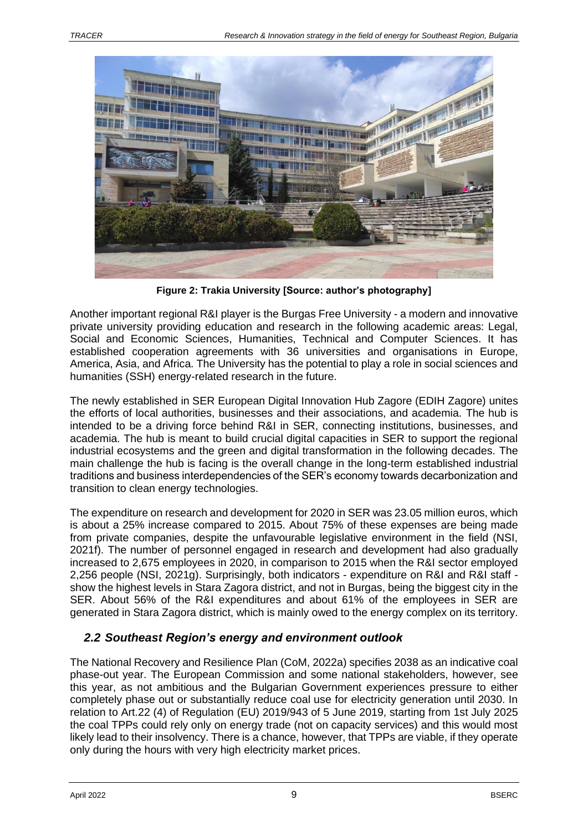

**Figure 2: Trakia University [Source: author's photography]**

Another important regional R&I player is the Burgas Free University - a modern and innovative private university providing education and research in the following academic areas: Legal, Social and Economic Sciences, Humanities, Technical and Computer Sciences. It has established cooperation agreements with 36 universities and organisations in Europe, America, Asia, and Africa. The University has the potential to play a role in social sciences and humanities (SSH) energy-related research in the future.

The newly established in SER European Digital Innovation Hub Zagore (EDIH Zagore) unites the efforts of local authorities, businesses and their associations, and academia. The hub is intended to be a driving force behind R&I in SER, connecting institutions, businesses, and academia. The hub is meant to build crucial digital capacities in SER to support the regional industrial ecosystems and the green and digital transformation in the following decades. The main challenge the hub is facing is the overall change in the long-term established industrial traditions and business interdependencies of the SER's economy towards decarbonization and transition to clean energy technologies.

The expenditure on research and development for 2020 in SER was 23.05 million euros, which is about a 25% increase compared to 2015. About 75% of these expenses are being made from private companies, despite the unfavourable legislative environment in the field (NSI, 2021f). The number of personnel engaged in research and development had also gradually increased to 2,675 employees in 2020, in comparison to 2015 when the R&I sector employed 2,256 people (NSI, 2021g). Surprisingly, both indicators - expenditure on R&I and R&I staff show the highest levels in Stara Zagora district, and not in Burgas, being the biggest city in the SER. About 56% of the R&I expenditures and about 61% of the employees in SER are generated in Stara Zagora district, which is mainly owed to the energy complex on its territory.

# <span id="page-8-0"></span>*2.2 Southeast Region's energy and environment outlook*

The National Recovery and Resilience Plan (CoM, 2022a) specifies 2038 as an indicative coal phase-out year. The European Commission and some national stakeholders, however, see this year, as not ambitious and the Bulgarian Government experiences pressure to either completely phase out or substantially reduce coal use for electricity generation until 2030. In relation to Art.22 (4) of Regulation (EU) 2019/943 of 5 June 2019, starting from 1st July 2025 the coal TPPs could rely only on energy trade (not on capacity services) and this would most likely lead to their insolvency. There is a chance, however, that TPPs are viable, if they operate only during the hours with very high electricity market prices.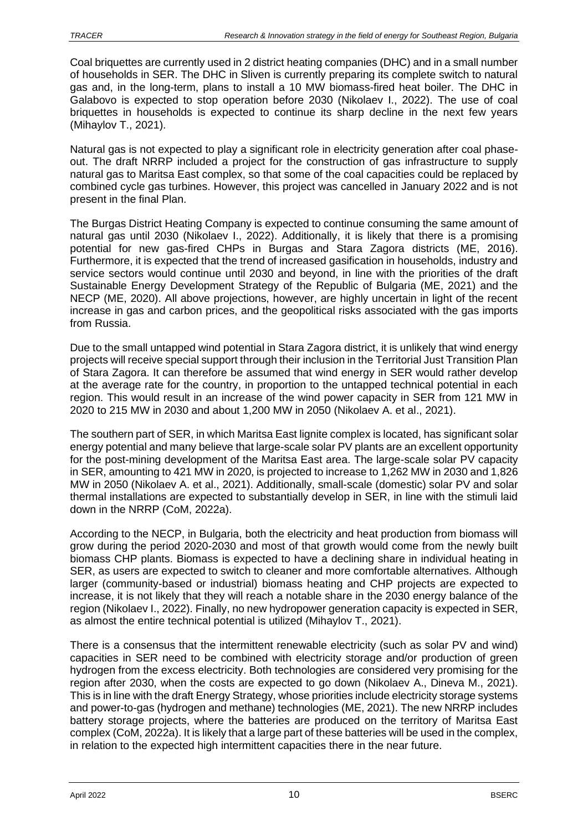Coal briquettes are currently used in 2 district heating companies (DHC) and in a small number of households in SER. The DHC in Sliven is currently preparing its complete switch to natural gas and, in the long-term, plans to install a 10 MW biomass-fired heat boiler. The DHC in Galabovo is expected to stop operation before 2030 (Nikolaev I., 2022). The use of coal briquettes in households is expected to continue its sharp decline in the next few years (Mihaylov T., 2021).

Natural gas is not expected to play a significant role in electricity generation after coal phaseout. The draft NRRP included a project for the construction of gas infrastructure to supply natural gas to Maritsa East complex, so that some of the coal capacities could be replaced by combined cycle gas turbines. However, this project was cancelled in January 2022 and is not present in the final Plan.

The Burgas District Heating Company is expected to continue consuming the same amount of natural gas until 2030 (Nikolaev I., 2022). Additionally, it is likely that there is a promising potential for new gas-fired CHPs in Burgas and Stara Zagora districts (ME, 2016). Furthermore, it is expected that the trend of increased gasification in households, industry and service sectors would continue until 2030 and beyond, in line with the priorities of the draft Sustainable Energy Development Strategy of the Republic of Bulgaria (ME, 2021) and the NECP (ME, 2020). All above projections, however, are highly uncertain in light of the recent increase in gas and carbon prices, and the geopolitical risks associated with the gas imports from Russia.

Due to the small untapped wind potential in Stara Zagora district, it is unlikely that wind energy projects will receive special support through their inclusion in the Territorial Just Transition Plan of Stara Zagora. It can therefore be assumed that wind energy in SER would rather develop at the average rate for the country, in proportion to the untapped technical potential in each region. This would result in an increase of the wind power capacity in SER from 121 MW in 2020 to 215 MW in 2030 and about 1,200 MW in 2050 (Nikolaev A. et al., 2021).

The southern part of SER, in which Maritsa East lignite complex is located, has significant solar energy potential and many believe that large-scale solar PV plants are an excellent opportunity for the post-mining development of the Maritsa East area. The large-scale solar PV capacity in SER, amounting to 421 MW in 2020, is projected to increase to 1,262 MW in 2030 and 1,826 MW in 2050 (Nikolaev A. et al., 2021). Additionally, small-scale (domestic) solar PV and solar thermal installations are expected to substantially develop in SER, in line with the stimuli laid down in the NRRP (CoM, 2022a).

According to the NECP, in Bulgaria, both the electricity and heat production from biomass will grow during the period 2020-2030 and most of that growth would come from the newly built biomass CHP plants. Biomass is expected to have a declining share in individual heating in SER, as users are expected to switch to cleaner and more comfortable alternatives. Although larger (community-based or industrial) biomass heating and CHP projects are expected to increase, it is not likely that they will reach a notable share in the 2030 energy balance of the region (Nikolaev I., 2022). Finally, no new hydropower generation capacity is expected in SER, as almost the entire technical potential is utilized (Mihaylov T., 2021).

There is a consensus that the intermittent renewable electricity (such as solar PV and wind) capacities in SER need to be combined with electricity storage and/or production of green hydrogen from the excess electricity. Both technologies are considered very promising for the region after 2030, when the costs are expected to go down (Nikolaev A., Dineva M., 2021). This is in line with the draft Energy Strategy, whose priorities include electricity storage systems and power-to-gas (hydrogen and methane) technologies (ME, 2021). The new NRRP includes battery storage projects, where the batteries are produced on the territory of Maritsa East complex (CoM, 2022a). It is likely that a large part of these batteries will be used in the complex, in relation to the expected high intermittent capacities there in the near future.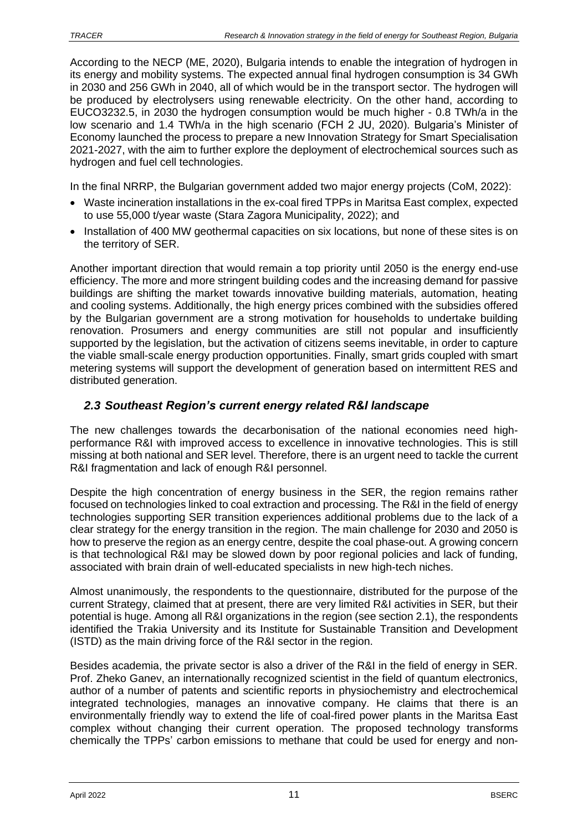According to the NECP (ME, 2020), Bulgaria intends to enable the integration of hydrogen in its energy and mobility systems. The expected annual final hydrogen consumption is 34 GWh in 2030 and 256 GWh in 2040, all of which would be in the transport sector. The hydrogen will be produced by electrolysers using renewable electricity. On the other hand, according to EUCO3232.5, in 2030 the hydrogen consumption would be much higher - 0.8 TWh/a in the low scenario and 1.4 TWh/a in the high scenario (FCH 2 JU, 2020). Bulgaria's Minister of Economy launched the process to prepare a new Innovation Strategy for Smart Specialisation 2021-2027, with the aim to further explore the deployment of electrochemical sources such as hydrogen and fuel cell technologies.

In the final NRRP, the Bulgarian government added two major energy projects (CoM, 2022):

- Waste incineration installations in the ex-coal fired TPPs in Maritsa East complex, expected to use 55,000 t/year waste (Stara Zagora Municipality, 2022); and
- Installation of 400 MW geothermal capacities on six locations, but none of these sites is on the territory of SER.

Another important direction that would remain a top priority until 2050 is the energy end-use efficiency. The more and more stringent building codes and the increasing demand for passive buildings are shifting the market towards innovative building materials, automation, heating and cooling systems. Additionally, the high energy prices combined with the subsidies offered by the Bulgarian government are a strong motivation for households to undertake building renovation. Prosumers and energy communities are still not popular and insufficiently supported by the legislation, but the activation of citizens seems inevitable, in order to capture the viable small-scale energy production opportunities. Finally, smart grids coupled with smart metering systems will support the development of generation based on intermittent RES and distributed generation.

# <span id="page-10-0"></span>*2.3 Southeast Region's current energy related R&I landscape*

The new challenges towards the decarbonisation of the national economies need highperformance R&I with improved access to excellence in innovative technologies. This is still missing at both national and SER level. Therefore, there is an urgent need to tackle the current R&I fragmentation and lack of enough R&I personnel.

Despite the high concentration of energy business in the SER, the region remains rather focused on technologies linked to coal extraction and processing. The R&I in the field of energy technologies supporting SER transition experiences additional problems due to the lack of a clear strategy for the energy transition in the region. The main challenge for 2030 and 2050 is how to preserve the region as an energy centre, despite the coal phase-out. A growing concern is that technological R&I may be slowed down by poor regional policies and lack of funding, associated with brain drain of well-educated specialists in new high-tech niches.

Almost unanimously, the respondents to the questionnaire, distributed for the purpose of the current Strategy, claimed that at present, there are very limited R&I activities in SER, but their potential is huge. Among all R&I organizations in the region (see section 2.1), the respondents identified the Trakia University and its Institute for Sustainable Transition and Development (ISTD) as the main driving force of the R&I sector in the region.

Besides academia, the private sector is also a driver of the R&I in the field of energy in SER. Prof. Zheko Ganev, an internationally recognized scientist in the field of quantum electronics, author of a number of patents and scientific reports in physiochemistry and electrochemical integrated technologies, manages an innovative company. He claims that there is an environmentally friendly way to extend the life of coal-fired power plants in the Maritsa East complex without changing their current operation. The proposed technology transforms chemically the TPPs' carbon emissions to methane that could be used for energy and non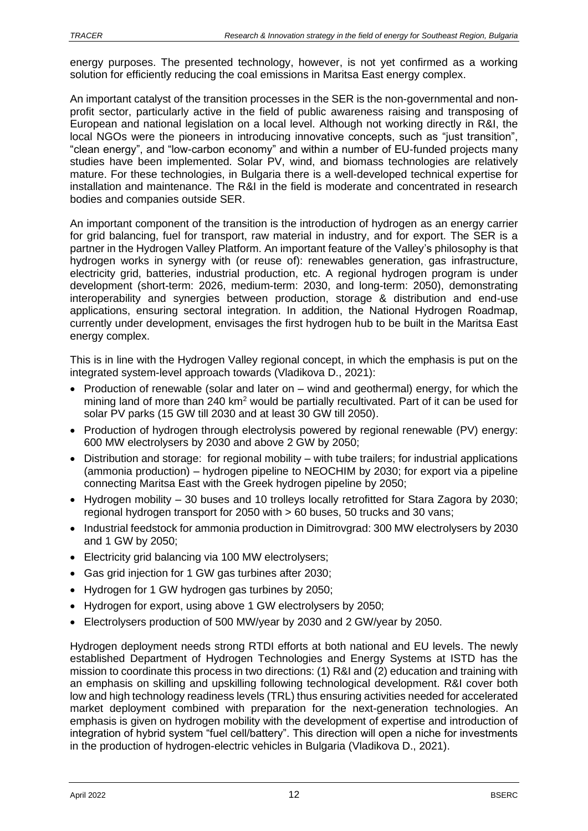energy purposes. The presented technology, however, is not yet confirmed as a working solution for efficiently reducing the coal emissions in Maritsa East energy complex.

An important catalyst of the transition processes in the SER is the non-governmental and nonprofit sector, particularly active in the field of public awareness raising and transposing of European and national legislation on a local level. Although not working directly in R&I, the local NGOs were the pioneers in introducing innovative concepts, such as "just transition", "clean energy", and "low-carbon economy" and within a number of EU-funded projects many studies have been implemented. Solar PV, wind, and biomass technologies are relatively mature. For these technologies, in Bulgaria there is a well-developed technical expertise for installation and maintenance. The R&I in the field is moderate and concentrated in research bodies and companies outside SER.

An important component of the transition is the introduction of hydrogen as an energy carrier for grid balancing, fuel for transport, raw material in industry, and for export. The SER is a partner in the Hydrogen Valley Platform. An important feature of the Valley's philosophy is that hydrogen works in synergy with (or reuse of): renewables generation, gas infrastructure, electricity grid, batteries, industrial production, etc. A regional hydrogen program is under development (short-term: 2026, medium-term: 2030, and long-term: 2050), demonstrating interoperability and synergies between production, storage & distribution and end-use applications, ensuring sectoral integration. In addition, the National Hydrogen Roadmap, currently under development, envisages the first hydrogen hub to be built in the Maritsa East energy complex.

This is in line with the Hydrogen Valley regional concept, in which the emphasis is put on the integrated system-level approach towards (Vladikova D., 2021):

- Production of renewable (solar and later on wind and geothermal) energy, for which the mining land of more than 240  $km^2$  would be partially recultivated. Part of it can be used for solar PV parks (15 GW till 2030 and at least 30 GW till 2050).
- Production of hydrogen through electrolysis powered by regional renewable (PV) energy: 600 MW electrolysers by 2030 and above 2 GW by 2050;
- Distribution and storage: for regional mobility with tube trailers; for industrial applications (ammonia production) – hydrogen pipeline to NEOCHIM by 2030; for export via a pipeline connecting Maritsa East with the Greek hydrogen pipeline by 2050;
- Hydrogen mobility 30 buses and 10 trolleys locally retrofitted for Stara Zagora by 2030; regional hydrogen transport for 2050 with > 60 buses, 50 trucks and 30 vans;
- Industrial feedstock for ammonia production in Dimitrovgrad: 300 MW electrolysers by 2030 and 1 GW by 2050;
- Electricity grid balancing via 100 MW electrolysers;
- Gas grid injection for 1 GW gas turbines after 2030;
- Hydrogen for 1 GW hydrogen gas turbines by 2050;
- Hydrogen for export, using above 1 GW electrolysers by 2050;
- Electrolysers production of 500 MW/year by 2030 and 2 GW/year by 2050.

Hydrogen deployment needs strong RTDI efforts at both national and EU levels. The newly established Department of Hydrogen Technologies and Energy Systems at ISTD has the mission to coordinate this process in two directions: (1) R&I and (2) education and training with an emphasis on skilling and upskilling following technological development. R&I cover both low and high technology readiness levels (TRL) thus ensuring activities needed for accelerated market deployment combined with preparation for the next-generation technologies. An emphasis is given on hydrogen mobility with the development of expertise and introduction of integration of hybrid system "fuel cell/battery". This direction will open a niche for investments in the production of hydrogen-electric vehicles in Bulgaria (Vladikova D., 2021).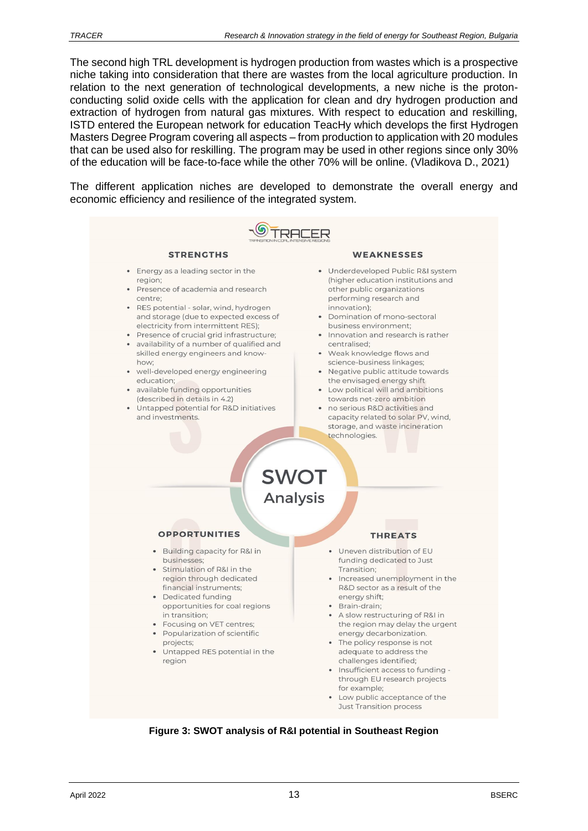The second high TRL development is hydrogen production from wastes which is a prospective niche taking into consideration that there are wastes from the local agriculture production. In relation to the next generation of technological developments, a new niche is the protonconducting solid oxide cells with the application for clean and dry hydrogen production and extraction of hydrogen from natural gas mixtures. With respect to education and reskilling, ISTD entered the European network for education TeacHy which develops the first Hydrogen Masters Degree Program covering all aspects – from production to application with 20 modules that can be used also for reskilling. The program may be used in other regions since only 30% of the education will be face-to-face while the other 70% will be online. (Vladikova D., 2021)

The different application niches are developed to demonstrate the overall energy and economic efficiency and resilience of the integrated system.



**Figure 3: SWOT analysis of R&I potential in Southeast Region**

Low public acceptance of the **Just Transition process**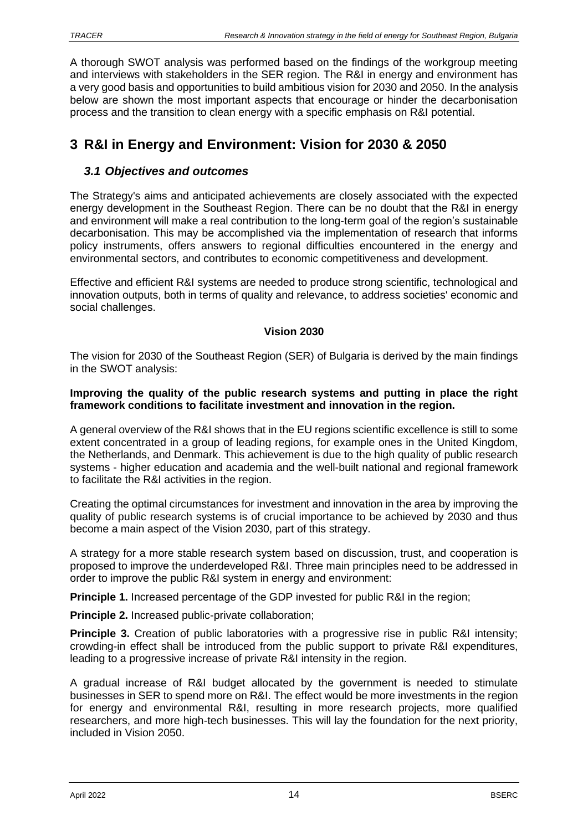A thorough SWOT analysis was performed based on the findings of the workgroup meeting and interviews with stakeholders in the SER region. The R&I in energy and environment has a very good basis and opportunities to build ambitious vision for 2030 and 2050. In the analysis below are shown the most important aspects that encourage or hinder the decarbonisation process and the transition to clean energy with a specific emphasis on R&I potential.

# <span id="page-13-0"></span>**3 R&I in Energy and Environment: Vision for 2030 & 2050**

### <span id="page-13-1"></span>*3.1 Objectives and outcomes*

The Strategy's aims and anticipated achievements are closely associated with the expected energy development in the Southeast Region. There can be no doubt that the R&I in energy and environment will make a real contribution to the long-term goal of the region's sustainable decarbonisation. This may be accomplished via the implementation of research that informs policy instruments, offers answers to regional difficulties encountered in the energy and environmental sectors, and contributes to economic competitiveness and development.

Effective and efficient R&I systems are needed to produce strong scientific, technological and innovation outputs, both in terms of quality and relevance, to address societies' economic and social challenges.

#### **Vision 2030**

The vision for 2030 of the Southeast Region (SER) of Bulgaria is derived by the main findings in the SWOT analysis:

#### **Improving the quality of the public research systems and putting in place the right framework conditions to facilitate investment and innovation in the region.**

A general overview of the R&I shows that in the EU regions scientific excellence is still to some extent concentrated in a group of leading regions, for example ones in the United Kingdom, the Netherlands, and Denmark. This achievement is due to the high quality of public research systems - higher education and academia and the well-built national and regional framework to facilitate the R&I activities in the region.

Creating the optimal circumstances for investment and innovation in the area by improving the quality of public research systems is of crucial importance to be achieved by 2030 and thus become a main aspect of the Vision 2030, part of this strategy.

A strategy for a more stable research system based on discussion, trust, and cooperation is proposed to improve the underdeveloped R&I. Three main principles need to be addressed in order to improve the public R&I system in energy and environment:

**Principle 1.** Increased percentage of the GDP invested for public R&I in the region;

**Principle 2.** Increased public-private collaboration:

**Principle 3.** Creation of public laboratories with a progressive rise in public R&I intensity: crowding-in effect shall be introduced from the public support to private R&I expenditures, leading to a progressive increase of private R&I intensity in the region.

A gradual increase of R&I budget allocated by the government is needed to stimulate businesses in SER to spend more on R&I. The effect would be more investments in the region for energy and environmental R&I, resulting in more research projects, more qualified researchers, and more high-tech businesses. This will lay the foundation for the next priority, included in Vision 2050.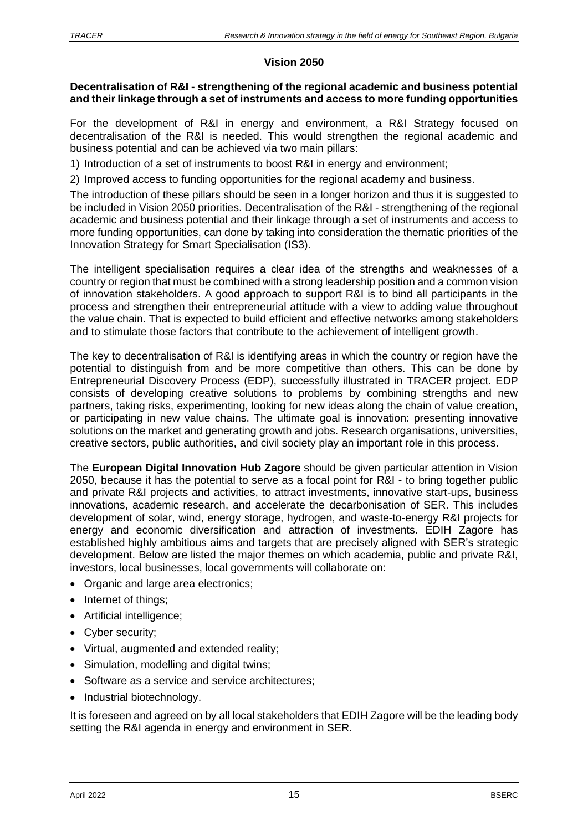### **Vision 2050**

#### **Decentralisation of R&I - strengthening of the regional academic and business potential and their linkage through a set of instruments and access to more funding opportunities**

For the development of R&I in energy and environment, a R&I Strategy focused on decentralisation of the R&I is needed. This would strengthen the regional academic and business potential and can be achieved via two main pillars:

1) Introduction of a set of instruments to boost R&I in energy and environment;

2) Improved access to funding opportunities for the regional academy and business.

The introduction of these pillars should be seen in a longer horizon and thus it is suggested to be included in Vision 2050 priorities. Decentralisation of the R&I - strengthening of the regional academic and business potential and their linkage through a set of instruments and access to more funding opportunities, can done by taking into consideration the thematic priorities of the Innovation Strategy for Smart Specialisation (IS3).

The intelligent specialisation requires a clear idea of the strengths and weaknesses of a country or region that must be combined with a strong leadership position and a common vision of innovation stakeholders. A good approach to support R&I is to bind all participants in the process and strengthen their entrepreneurial attitude with a view to adding value throughout the value chain. That is expected to build efficient and effective networks among stakeholders and to stimulate those factors that contribute to the achievement of intelligent growth.

The key to decentralisation of R&I is identifying areas in which the country or region have the potential to distinguish from and be more competitive than others. This can be done by Entrepreneurial Discovery Process (EDP), successfully illustrated in TRACER project. EDP consists of developing creative solutions to problems by combining strengths and new partners, taking risks, experimenting, looking for new ideas along the chain of value creation, or participating in new value chains. The ultimate goal is innovation: presenting innovative solutions on the market and generating growth and jobs. Research organisations, universities, creative sectors, public authorities, and civil society play an important role in this process.

The **European Digital Innovation Hub Zagore** should be given particular attention in Vision 2050, because it has the potential to serve as a focal point for R&I - to bring together public and private R&I projects and activities, to attract investments, innovative start-ups, business innovations, academic research, and accelerate the decarbonisation of SER. This includes development of solar, wind, energy storage, hydrogen, and waste-to-energy R&I projects for energy and economic diversification and attraction of investments. EDIH Zagore has established highly ambitious aims and targets that are precisely aligned with SER's strategic development. Below are listed the major themes on which academia, public and private R&I, investors, local businesses, local governments will collaborate on:

- Organic and large area electronics;
- Internet of things;
- Artificial intelligence;
- Cyber security;
- Virtual, augmented and extended reality;
- Simulation, modelling and digital twins:
- Software as a service and service architectures;
- Industrial biotechnology.

It is foreseen and agreed on by all local stakeholders that EDIH Zagore will be the leading body setting the R&I agenda in energy and environment in SER.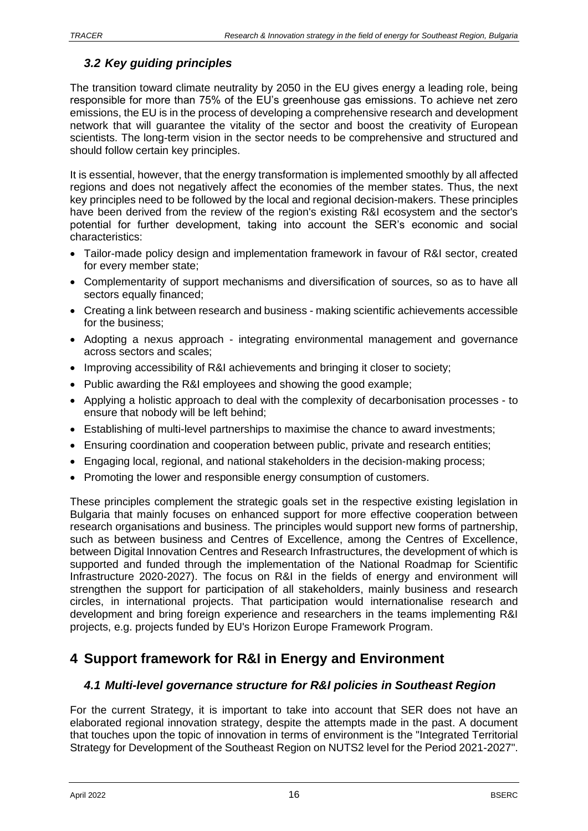# <span id="page-15-0"></span>*3.2 Key guiding principles*

The transition toward climate neutrality by 2050 in the EU gives energy a leading role, being responsible for more than 75% of the EU's greenhouse gas emissions. To achieve net zero emissions, the EU is in the process of developing a comprehensive research and development network that will guarantee the vitality of the sector and boost the creativity of European scientists. The long-term vision in the sector needs to be comprehensive and structured and should follow certain key principles.

It is essential, however, that the energy transformation is implemented smoothly by all affected regions and does not negatively affect the economies of the member states. Thus, the next key principles need to be followed by the local and regional decision-makers. These principles have been derived from the review of the region's existing R&I ecosystem and the sector's potential for further development, taking into account the SER's economic and social characteristics:

- Tailor-made policy design and implementation framework in favour of R&I sector, created for every member state;
- Complementarity of support mechanisms and diversification of sources, so as to have all sectors equally financed;
- Creating a link between research and business making scientific achievements accessible for the business;
- Adopting a nexus approach integrating environmental management and governance across sectors and scales;
- Improving accessibility of R&I achievements and bringing it closer to society:
- Public awarding the R&I employees and showing the good example;
- Applying a holistic approach to deal with the complexity of decarbonisation processes to ensure that nobody will be left behind;
- Establishing of multi-level partnerships to maximise the chance to award investments;
- Ensuring coordination and cooperation between public, private and research entities;
- Engaging local, regional, and national stakeholders in the decision-making process;
- Promoting the lower and responsible energy consumption of customers.

These principles complement the strategic goals set in the respective existing legislation in Bulgaria that mainly focuses on enhanced support for more effective cooperation between research organisations and business. The principles would support new forms of partnership, such as between business and Centres of Excellence, among the Centres of Excellence, between Digital Innovation Centres and Research Infrastructures, the development of which is supported and funded through the implementation of the National Roadmap for Scientific Infrastructure 2020-2027). The focus on R&I in the fields of energy and environment will strengthen the support for participation of all stakeholders, mainly business and research circles, in international projects. That participation would internationalise research and development and bring foreign experience and researchers in the teams implementing R&I projects, e.g. projects funded by EU's Horizon Europe Framework Program.

# <span id="page-15-1"></span>**4 Support framework for R&I in Energy and Environment**

# <span id="page-15-2"></span>*4.1 Multi-level governance structure for R&I policies in Southeast Region*

For the current Strategy, it is important to take into account that SER does not have an elaborated regional innovation strategy, despite the attempts made in the past. A document that touches upon the topic of innovation in terms of environment is the "Integrated Territorial Strategy for Development of the Southeast Region on NUTS2 level for the Period 2021-2027".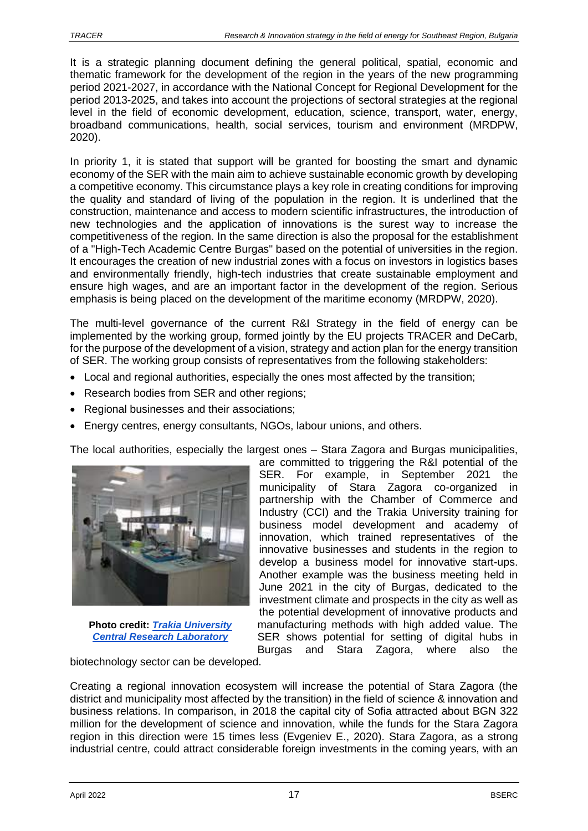It is a strategic planning document defining the general political, spatial, economic and thematic framework for the development of the region in the years of the new programming period 2021-2027, in accordance with the National Concept for Regional Development for the period 2013-2025, and takes into account the projections of sectoral strategies at the regional level in the field of economic development, education, science, transport, water, energy, broadband communications, health, social services, tourism and environment (MRDPW, 2020).

In priority 1, it is stated that support will be granted for boosting the smart and dynamic economy of the SER with the main aim to achieve sustainable economic growth by developing a competitive economy. This circumstance plays a key role in creating conditions for improving the quality and standard of living of the population in the region. It is underlined that the construction, maintenance and access to modern scientific infrastructures, the introduction of new technologies and the application of innovations is the surest way to increase the competitiveness of the region. In the same direction is also the proposal for the establishment of a "High-Tech Academic Centre Burgas" based on the potential of universities in the region. It encourages the creation of new industrial zones with a focus on investors in logistics bases and environmentally friendly, high-tech industries that create sustainable employment and ensure high wages, and are an important factor in the development of the region. Serious emphasis is being placed on the development of the maritime economy (MRDPW, 2020).

The multi-level governance of the current R&I Strategy in the field of energy can be implemented by the working group, formed jointly by the EU projects TRACER and DeCarb, for the purpose of the development of a vision, strategy and action plan for the energy transition of SER. The working group consists of representatives from the following stakeholders:

- Local and regional authorities, especially the ones most affected by the transition;
- Research bodies from SER and other regions:
- Regional businesses and their associations:
- Energy centres, energy consultants, NGOs, labour unions, and others.

The local authorities, especially the largest ones – Stara Zagora and Burgas municipalities,



**Photo credit:** *[Trakia University](http://www.uni-sz.bg/structure/%D0%BB%D0%B0%D0%B1%D0%BE%D1%80%D0%B0%D1%82%D0%BE%D1%80%D0%B8%D0%B8/%D1%86%D0%B5%D0%BD%D1%82%D1%80%D0%B0%D0%BB%D0%BD%D0%B0-%D0%BD%D0%B0%D1%83%D1%87%D0%BD%D0%BE-%D0%B8%D0%B7%D1%81%D0%BB%D0%B5%D0%B4%D0%BE%D0%B2%D0%B0%D1%82%D0%B5%D0%BB%D1%81%D0%BA%D0%B0-%D0%BB%D0%B0/)  [Central Research Laboratory](http://www.uni-sz.bg/structure/%D0%BB%D0%B0%D0%B1%D0%BE%D1%80%D0%B0%D1%82%D0%BE%D1%80%D0%B8%D0%B8/%D1%86%D0%B5%D0%BD%D1%82%D1%80%D0%B0%D0%BB%D0%BD%D0%B0-%D0%BD%D0%B0%D1%83%D1%87%D0%BD%D0%BE-%D0%B8%D0%B7%D1%81%D0%BB%D0%B5%D0%B4%D0%BE%D0%B2%D0%B0%D1%82%D0%B5%D0%BB%D1%81%D0%BA%D0%B0-%D0%BB%D0%B0/)*

are committed to triggering the R&I potential of the SER. For example, in September 2021 the municipality of Stara Zagora co-organized in partnership with the Chamber of Commerce and Industry (CCI) and the Trakia University training for business model development and academy of innovation, which trained representatives of the innovative businesses and students in the region to develop a business model for innovative start-ups. Another example was the business meeting held in June 2021 in the city of Burgas, dedicated to the investment climate and prospects in the city as well as the potential development of innovative products and manufacturing methods with high added value. The SER shows potential for setting of digital hubs in Burgas and Stara Zagora, where also the

biotechnology sector can be developed.

Creating a regional innovation ecosystem will increase the potential of Stara Zagora (the district and municipality most affected by the transition) in the field of science & innovation and business relations. In comparison, in 2018 the capital city of Sofia attracted about BGN 322 million for the development of science and innovation, while the funds for the Stara Zagora region in this direction were 15 times less (Evgeniev E., 2020). Stara Zagora, as a strong industrial centre, could attract considerable foreign investments in the coming years, with an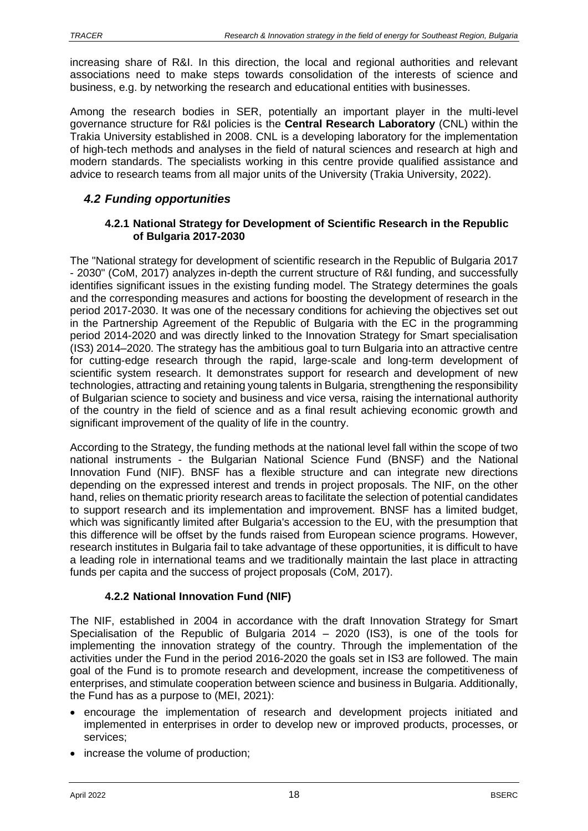increasing share of R&I. In this direction, the local and regional authorities and relevant associations need to make steps towards consolidation of the interests of science and business, e.g. by networking the research and educational entities with businesses.

Among the research bodies in SER, potentially an important player in the multi-level governance structure for R&I policies is the **Central Research Laboratory** (CNL) within the Trakia University established in 2008. CNL is a developing laboratory for the implementation of high-tech methods and analyses in the field of natural sciences and research at high and modern standards. The specialists working in this centre provide qualified assistance and advice to research teams from all major units of the University (Trakia University, 2022).

# <span id="page-17-0"></span>*4.2 Funding opportunities*

#### **4.2.1 National Strategy for Development of Scientific Research in the Republic of Bulgaria 2017-2030**

The "National strategy for development of scientific research in the Republic of Bulgaria 2017 - 2030" (CoM, 2017) analyzes in-depth the current structure of R&I funding, and successfully identifies significant issues in the existing funding model. The Strategy determines the goals and the corresponding measures and actions for boosting the development of research in the period 2017-2030. It was one of the necessary conditions for achieving the objectives set out in the Partnership Agreement of the Republic of Bulgaria with the EC in the programming period 2014-2020 and was directly linked to the Innovation Strategy for Smart specialisation (IS3) 2014–2020. The strategy has the ambitious goal to turn Bulgaria into an attractive centre for cutting-edge research through the rapid, large-scale and long-term development of scientific system research. It demonstrates support for research and development of new technologies, attracting and retaining young talents in Bulgaria, strengthening the responsibility of Bulgarian science to society and business and vice versa, raising the international authority of the country in the field of science and as a final result achieving economic growth and significant improvement of the quality of life in the country.

According to the Strategy, the funding methods at the national level fall within the scope of two national instruments - the Bulgarian National Science Fund (BNSF) and the National Innovation Fund (NIF). BNSF has a flexible structure and can integrate new directions depending on the expressed interest and trends in project proposals. The NIF, on the other hand, relies on thematic priority research areas to facilitate the selection of potential candidates to support research and its implementation and improvement. BNSF has a limited budget, which was significantly limited after Bulgaria's accession to the EU, with the presumption that this difference will be offset by the funds raised from European science programs. However, research institutes in Bulgaria fail to take advantage of these opportunities, it is difficult to have a leading role in international teams and we traditionally maintain the last place in attracting funds per capita and the success of project proposals (CoM, 2017).

# **4.2.2 National Innovation Fund (NIF)**

The NIF, established in 2004 in accordance with the draft Innovation Strategy for Smart Specialisation of the Republic of Bulgaria 2014 – 2020 (IS3), is one of the tools for implementing the innovation strategy of the country. Through the implementation of the activities under the Fund in the period 2016-2020 the goals set in IS3 are followed. The main goal of the Fund is to promote research and development, increase the competitiveness of enterprises, and stimulate cooperation between science and business in Bulgaria. Additionally, the Fund has as a purpose to (MEI, 2021):

- encourage the implementation of research and development projects initiated and implemented in enterprises in order to develop new or improved products, processes, or services;
- increase the volume of production;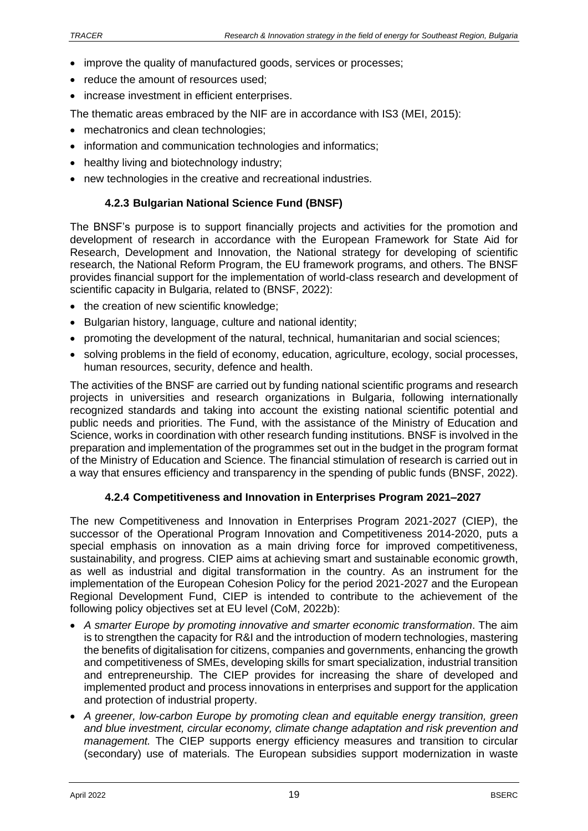- improve the quality of manufactured goods, services or processes:
- reduce the amount of resources used:
- increase investment in efficient enterprises.

The thematic areas embraced by the NIF are in accordance with IS3 (MEI, 2015):

- mechatronics and clean technologies;
- information and communication technologies and informatics;
- healthy living and biotechnology industry;
- new technologies in the creative and recreational industries.

### **4.2.3 Bulgarian National Science Fund (BNSF)**

The BNSF's purpose is to support financially projects and activities for the promotion and development of research in accordance with the European Framework for State Aid for Research, Development and Innovation, the National strategy for developing of scientific research, the National Reform Program, the EU framework programs, and others. The BNSF provides financial support for the implementation of world-class research and development of scientific capacity in Bulgaria, related to (BNSF, 2022):

- the creation of new scientific knowledge;
- Bulgarian history, language, culture and national identity;
- promoting the development of the natural, technical, humanitarian and social sciences;
- solving problems in the field of economy, education, agriculture, ecology, social processes, human resources, security, defence and health.

The activities of the BNSF are carried out by funding national scientific programs and research projects in universities and research organizations in Bulgaria, following internationally recognized standards and taking into account the existing national scientific potential and public needs and priorities. The Fund, with the assistance of the Ministry of Education and Science, works in coordination with other research funding institutions. BNSF is involved in the preparation and implementation of the programmes set out in the budget in the program format of the Ministry of Education and Science. The financial stimulation of research is carried out in a way that ensures efficiency and transparency in the spending of public funds (BNSF, 2022).

### **4.2.4 Competitiveness and Innovation in Enterprises Program 2021–2027**

The new Competitiveness and Innovation in Enterprises Program 2021-2027 (CIEP), the successor of the Operational Program Innovation and Competitiveness 2014-2020, puts a special emphasis on innovation as a main driving force for improved competitiveness, sustainability, and progress. CIEP aims at achieving smart and sustainable economic growth, as well as industrial and digital transformation in the country. As an instrument for the implementation of the European Cohesion Policy for the period 2021-2027 and the European Regional Development Fund, CIEP is intended to contribute to the achievement of the following policy objectives set at EU level (CoM, 2022b):

- *A smarter Europe by promoting innovative and smarter economic transformation*. The aim is to strengthen the capacity for R&I and the introduction of modern technologies, mastering the benefits of digitalisation for citizens, companies and governments, enhancing the growth and competitiveness of SMEs, developing skills for smart specialization, industrial transition and entrepreneurship. The CIEP provides for increasing the share of developed and implemented product and process innovations in enterprises and support for the application and protection of industrial property.
- *A greener, low-carbon Europe by promoting clean and equitable energy transition, green and blue investment, circular economy, climate change adaptation and risk prevention and management.* The CIEP supports energy efficiency measures and transition to circular (secondary) use of materials. The European subsidies support modernization in waste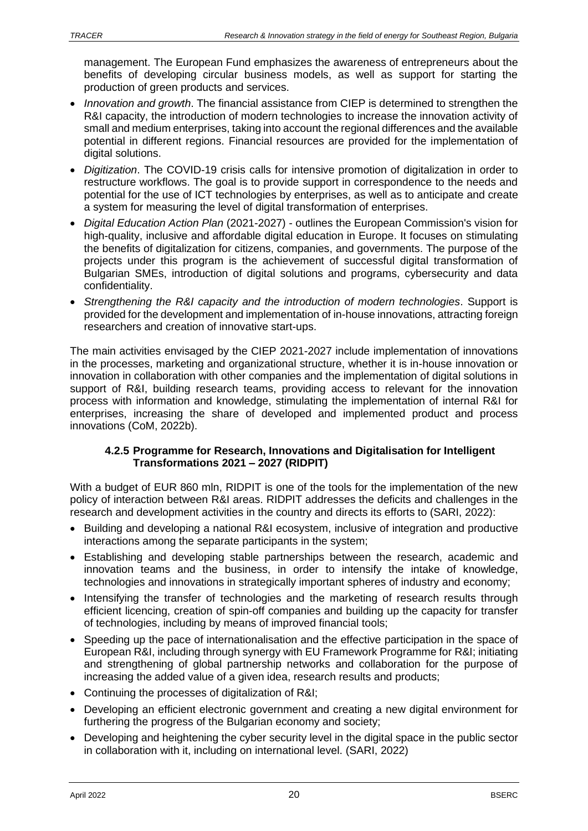management. The European Fund emphasizes the awareness of entrepreneurs about the benefits of developing circular business models, as well as support for starting the production of green products and services.

- *Innovation and growth*. The financial assistance from CIEP is determined to strengthen the R&I capacity, the introduction of modern technologies to increase the innovation activity of small and medium enterprises, taking into account the regional differences and the available potential in different regions. Financial resources are provided for the implementation of digital solutions.
- *Digitization*. The COVID-19 crisis calls for intensive promotion of digitalization in order to restructure workflows. The goal is to provide support in correspondence to the needs and potential for the use of ICT technologies by enterprises, as well as to anticipate and create a system for measuring the level of digital transformation of enterprises.
- *Digital Education Action Plan* (2021-2027) outlines the European Commission's vision for high-quality, inclusive and affordable digital education in Europe. It focuses on stimulating the benefits of digitalization for citizens, companies, and governments. The purpose of the projects under this program is the achievement of successful digital transformation of Bulgarian SMEs, introduction of digital solutions and programs, cybersecurity and data confidentiality.
- *Strengthening the R&I capacity and the introduction of modern technologies*. Support is provided for the development and implementation of in-house innovations, attracting foreign researchers and creation of innovative start-ups.

The main activities envisaged by the CIEP 2021-2027 include implementation of innovations in the processes, marketing and organizational structure, whether it is in-house innovation or innovation in collaboration with other companies and the implementation of digital solutions in support of R&I, building research teams, providing access to relevant for the innovation process with information and knowledge, stimulating the implementation of internal R&I for enterprises, increasing the share of developed and implemented product and process innovations (CoM, 2022b).

#### **4.2.5 Programme for Research, Innovations and Digitalisation for Intelligent Transformations 2021 – 2027 (RIDPIT)**

With a budget of EUR 860 mln, RIDPIT is one of the tools for the implementation of the new policy of interaction between R&I areas. RIDPIT addresses the deficits and challenges in the research and development activities in the country and directs its efforts to (SARI, 2022):

- Building and developing a national R&I ecosystem, inclusive of integration and productive interactions among the separate participants in the system;
- Establishing and developing stable partnerships between the research, academic and innovation teams and the business, in order to intensify the intake of knowledge, technologies and innovations in strategically important spheres of industry and economy;
- Intensifying the transfer of technologies and the marketing of research results through efficient licencing, creation of spin-off companies and building up the capacity for transfer of technologies, including by means of improved financial tools;
- Speeding up the pace of internationalisation and the effective participation in the space of European R&I, including through synergy with EU Framework Programme for R&I; initiating and strengthening of global partnership networks and collaboration for the purpose of increasing the added value of a given idea, research results and products;
- Continuing the processes of digitalization of R&I;
- Developing an efficient electronic government and creating a new digital environment for furthering the progress of the Bulgarian economy and society;
- Developing and heightening the cyber security level in the digital space in the public sector in collaboration with it, including on international level. (SARI, 2022)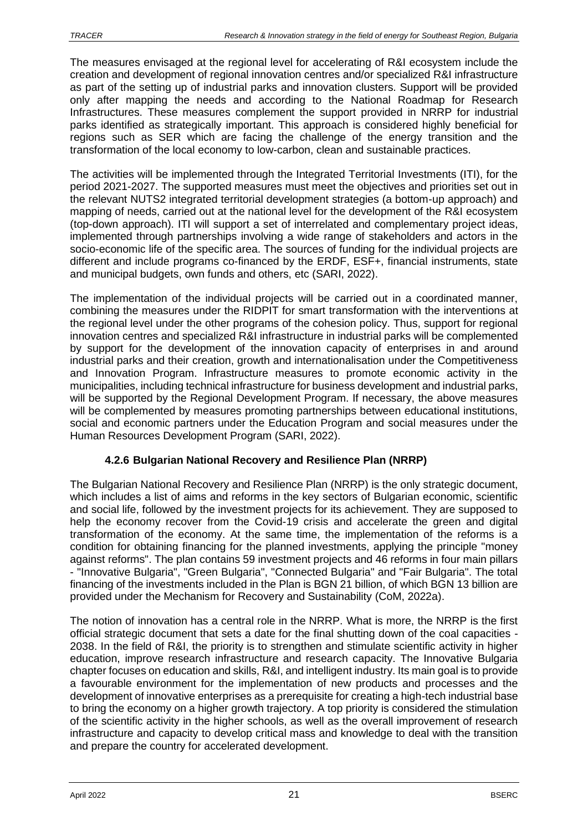The measures envisaged at the regional level for accelerating of R&I ecosystem include the creation and development of regional innovation centres and/or specialized R&I infrastructure as part of the setting up of industrial parks and innovation clusters. Support will be provided only after mapping the needs and according to the National Roadmap for Research Infrastructures. These measures complement the support provided in NRRP for industrial parks identified as strategically important. This approach is considered highly beneficial for regions such as SER which are facing the challenge of the energy transition and the transformation of the local economy to low-carbon, clean and sustainable practices.

The activities will be implemented through the Integrated Territorial Investments (ITI), for the period 2021-2027. The supported measures must meet the objectives and priorities set out in the relevant NUTS2 integrated territorial development strategies (a bottom-up approach) and mapping of needs, carried out at the national level for the development of the R&I ecosystem (top-down approach). ITI will support a set of interrelated and complementary project ideas, implemented through partnerships involving a wide range of stakeholders and actors in the socio-economic life of the specific area. The sources of funding for the individual projects are different and include programs co-financed by the ERDF, ESF+, financial instruments, state and municipal budgets, own funds and others, etc (SARI, 2022).

The implementation of the individual projects will be carried out in a coordinated manner, combining the measures under the RIDPIT for smart transformation with the interventions at the regional level under the other programs of the cohesion policy. Thus, support for regional innovation centres and specialized R&I infrastructure in industrial parks will be complemented by support for the development of the innovation capacity of enterprises in and around industrial parks and their creation, growth and internationalisation under the Competitiveness and Innovation Program. Infrastructure measures to promote economic activity in the municipalities, including technical infrastructure for business development and industrial parks, will be supported by the Regional Development Program. If necessary, the above measures will be complemented by measures promoting partnerships between educational institutions, social and economic partners under the Education Program and social measures under the Human Resources Development Program (SARI, 2022).

# **4.2.6 Bulgarian National Recovery and Resilience Plan (NRRP)**

The Bulgarian National Recovery and Resilience Plan (NRRP) is the only strategic document, which includes a list of aims and reforms in the key sectors of Bulgarian economic, scientific and social life, followed by the investment projects for its achievement. They are supposed to help the economy recover from the Covid-19 crisis and accelerate the green and digital transformation of the economy. At the same time, the implementation of the reforms is a condition for obtaining financing for the planned investments, applying the principle "money against reforms". The plan contains 59 investment projects and 46 reforms in four main pillars - "Innovative Bulgaria", "Green Bulgaria", "Connected Bulgaria" and "Fair Bulgaria". The total financing of the investments included in the Plan is BGN 21 billion, of which BGN 13 billion are provided under the Mechanism for Recovery and Sustainability (CoM, 2022a).

The notion of innovation has a central role in the NRRP. What is more, the NRRP is the first official strategic document that sets a date for the final shutting down of the coal capacities - 2038. In the field of R&I, the priority is to strengthen and stimulate scientific activity in higher education, improve research infrastructure and research capacity. The Innovative Bulgaria chapter focuses on education and skills, R&I, and intelligent industry. Its main goal is to provide a favourable environment for the implementation of new products and processes and the development of innovative enterprises as a prerequisite for creating a high-tech industrial base to bring the economy on a higher growth trajectory. A top priority is considered the stimulation of the scientific activity in the higher schools, as well as the overall improvement of research infrastructure and capacity to develop critical mass and knowledge to deal with the transition and prepare the country for accelerated development.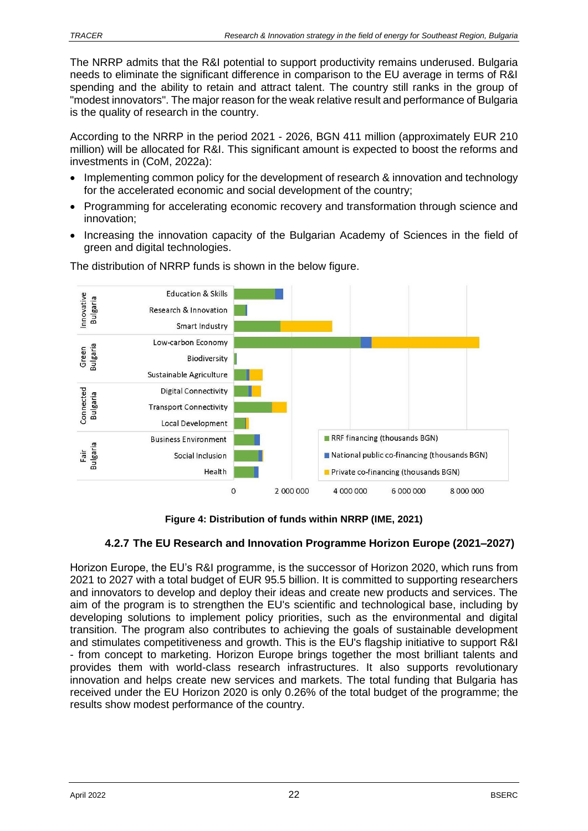The NRRP admits that the R&I potential to support productivity remains underused. Bulgaria needs to eliminate the significant difference in comparison to the EU average in terms of R&I spending and the ability to retain and attract talent. The country still ranks in the group of "modest innovators". The major reason for the weak relative result and performance of Bulgaria is the quality of research in the country.

According to the NRRP in the period 2021 - 2026, BGN 411 million (approximately EUR 210 million) will be allocated for R&I. This significant amount is expected to boost the reforms and investments in (CoM, 2022a):

- Implementing common policy for the development of research & innovation and technology for the accelerated economic and social development of the country;
- Programming for accelerating economic recovery and transformation through science and innovation;
- Increasing the innovation capacity of the Bulgarian Academy of Sciences in the field of green and digital technologies.



The distribution of NRRP funds is shown in the below figure.

**Figure 4: Distribution of funds within NRRP (IME, 2021)**

# **4.2.7 The EU Research and Innovation Programme Horizon Europe (2021–2027)**

Horizon Europe, the EU's R&I programme, is the successor of Horizon 2020, which runs from 2021 to 2027 with a total budget of EUR 95.5 billion. It is committed to supporting researchers and innovators to develop and deploy their ideas and create new products and services. The aim of the program is to strengthen the EU's scientific and technological base, including by developing solutions to implement policy priorities, such as the environmental and digital transition. The program also contributes to achieving the goals of sustainable development and stimulates competitiveness and growth. This is the EU's flagship initiative to support R&I - from concept to marketing. Horizon Europe brings together the most brilliant talents and provides them with world-class research infrastructures. It also supports revolutionary innovation and helps create new services and markets. The total funding that Bulgaria has received under the EU Horizon 2020 is only 0.26% of the total budget of the programme; the results show modest performance of the country.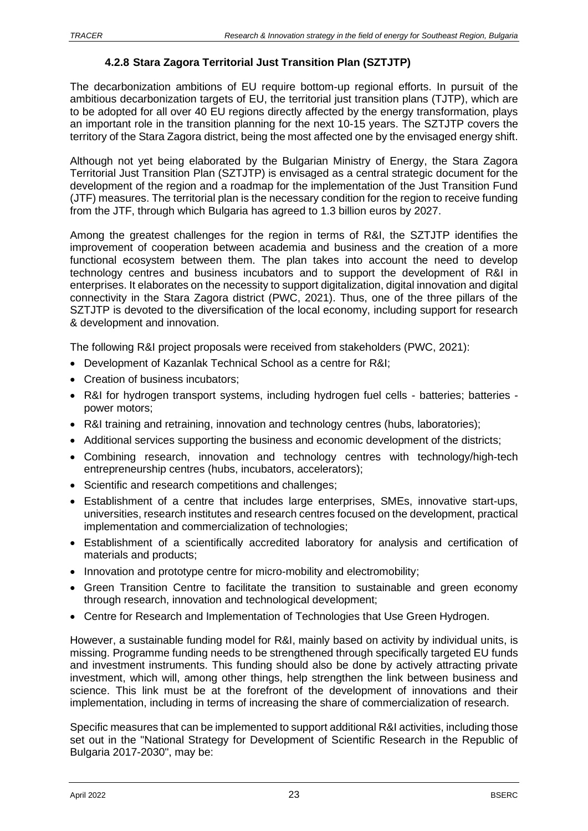### **4.2.8 Stara Zagora Territorial Just Transition Plan (SZTJTP)**

The decarbonization ambitions of EU require bottom-up regional efforts. In pursuit of the ambitious decarbonization targets of EU, the territorial just transition plans (TJTP), which are to be adopted for all over 40 EU regions directly affected by the energy transformation, plays an important role in the transition planning for the next 10-15 years. The SZTJTP covers the territory of the Stara Zagora district, being the most affected one by the envisaged energy shift.

Although not yet being elaborated by the Bulgarian Ministry of Energy, the Stara Zagora Territorial Just Transition Plan (SZTJTP) is envisaged as a central strategic document for the development of the region and a roadmap for the implementation of the Just Transition Fund (JTF) measures. The territorial plan is the necessary condition for the region to receive funding from the JTF, through which Bulgaria has agreed to 1.3 billion euros by 2027.

Among the greatest challenges for the region in terms of R&I, the SZTJTP identifies the improvement of cooperation between academia and business and the creation of a more functional ecosystem between them. The plan takes into account the need to develop technology centres and business incubators and to support the development of R&I in enterprises. It elaborates on the necessity to support digitalization, digital innovation and digital connectivity in the Stara Zagora district (PWC, 2021). Thus, one of the three pillars of the SZTJTP is devoted to the diversification of the local economy, including support for research & development and innovation.

The following R&I project proposals were received from stakeholders (PWC, 2021):

- Development of Kazanlak Technical School as a centre for R&I;
- Creation of business incubators;
- R&I for hydrogen transport systems, including hydrogen fuel cells batteries; batteries power motors;
- R&I training and retraining, innovation and technology centres (hubs, laboratories);
- Additional services supporting the business and economic development of the districts;
- Combining research, innovation and technology centres with technology/high-tech entrepreneurship centres (hubs, incubators, accelerators);
- Scientific and research competitions and challenges;
- Establishment of a centre that includes large enterprises, SMEs, innovative start-ups, universities, research institutes and research centres focused on the development, practical implementation and commercialization of technologies;
- Establishment of a scientifically accredited laboratory for analysis and certification of materials and products;
- Innovation and prototype centre for micro-mobility and electromobility;
- Green Transition Centre to facilitate the transition to sustainable and green economy through research, innovation and technological development;
- Centre for Research and Implementation of Technologies that Use Green Hydrogen.

However, a sustainable funding model for R&I, mainly based on activity by individual units, is missing. Programme funding needs to be strengthened through specifically targeted EU funds and investment instruments. This funding should also be done by actively attracting private investment, which will, among other things, help strengthen the link between business and science. This link must be at the forefront of the development of innovations and their implementation, including in terms of increasing the share of commercialization of research.

Specific measures that can be implemented to support additional R&I activities, including those set out in the "National Strategy for Development of Scientific Research in the Republic of Bulgaria 2017-2030", may be: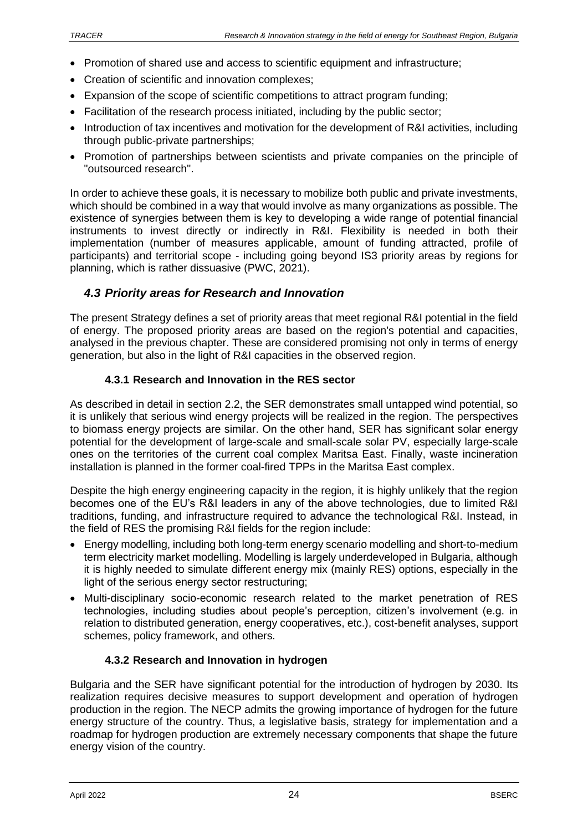- Promotion of shared use and access to scientific equipment and infrastructure;
- Creation of scientific and innovation complexes:
- Expansion of the scope of scientific competitions to attract program funding:
- Facilitation of the research process initiated, including by the public sector;
- Introduction of tax incentives and motivation for the development of R&I activities, including through public-private partnerships;
- Promotion of partnerships between scientists and private companies on the principle of "outsourced research".

In order to achieve these goals, it is necessary to mobilize both public and private investments, which should be combined in a way that would involve as many organizations as possible. The existence of synergies between them is key to developing a wide range of potential financial instruments to invest directly or indirectly in R&I. Flexibility is needed in both their implementation (number of measures applicable, amount of funding attracted, profile of participants) and territorial scope - including going beyond IS3 priority areas by regions for planning, which is rather dissuasive (PWC, 2021).

# <span id="page-23-0"></span>*4.3 Priority areas for Research and Innovation*

The present Strategy defines a set of priority areas that meet regional R&I potential in the field of energy. The proposed priority areas are based on the region's potential and capacities, analysed in the previous chapter. These are considered promising not only in terms of energy generation, but also in the light of R&I capacities in the observed region.

### **4.3.1 Research and Innovation in the RES sector**

As described in detail in section 2.2, the SER demonstrates small untapped wind potential, so it is unlikely that serious wind energy projects will be realized in the region. The perspectives to biomass energy projects are similar. On the other hand, SER has significant solar energy potential for the development of large-scale and small-scale solar PV, especially large-scale ones on the territories of the current coal complex Maritsa East. Finally, waste incineration installation is planned in the former coal-fired TPPs in the Maritsa East complex.

Despite the high energy engineering capacity in the region, it is highly unlikely that the region becomes one of the EU's R&I leaders in any of the above technologies, due to limited R&I traditions, funding, and infrastructure required to advance the technological R&I. Instead, in the field of RES the promising R&I fields for the region include:

- Energy modelling, including both long-term energy scenario modelling and short-to-medium term electricity market modelling. Modelling is largely underdeveloped in Bulgaria, although it is highly needed to simulate different energy mix (mainly RES) options, especially in the light of the serious energy sector restructuring;
- Multi-disciplinary socio-economic research related to the market penetration of RES technologies, including studies about people's perception, citizen's involvement (e.g. in relation to distributed generation, energy cooperatives, etc.), cost-benefit analyses, support schemes, policy framework, and others.

### **4.3.2 Research and Innovation in hydrogen**

Bulgaria and the SER have significant potential for the introduction of hydrogen by 2030. Its realization requires decisive measures to support development and operation of hydrogen production in the region. The NECP admits the growing importance of hydrogen for the future energy structure of the country. Thus, a legislative basis, strategy for implementation and a roadmap for hydrogen production are extremely necessary components that shape the future energy vision of the country.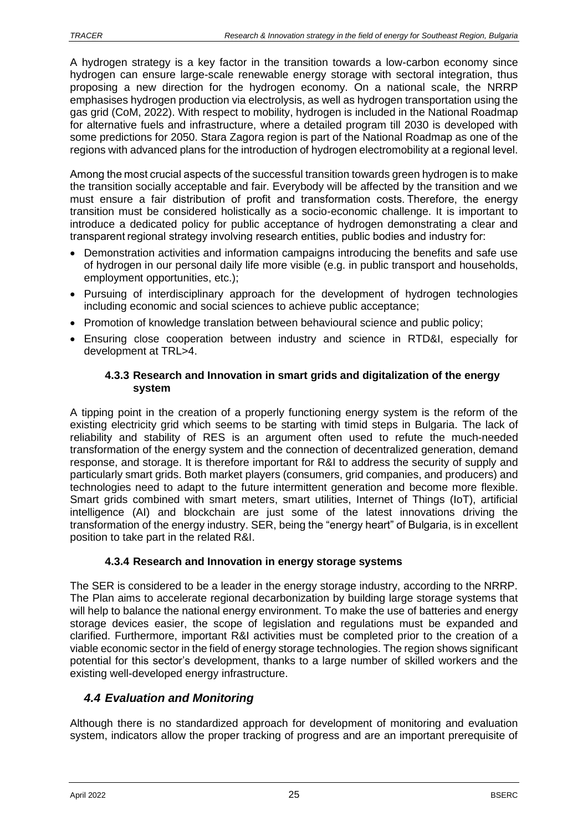A hydrogen strategy is a key factor in the transition towards a low-carbon economy since hydrogen can ensure large-scale renewable energy storage with sectoral integration, thus proposing a new direction for the hydrogen economy. On a national scale, the NRRP emphasises hydrogen production via electrolysis, as well as hydrogen transportation using the gas grid (CoM, 2022). With respect to mobility, hydrogen is included in the National Roadmap for alternative fuels and infrastructure, where a detailed program till 2030 is developed with some predictions for 2050. Stara Zagora region is part of the National Roadmap as one of the regions with advanced plans for the introduction of hydrogen electromobility at а regional level.

Among the most crucial aspects of the successful transition towards green hydrogen is to make the transition socially acceptable and fair. Everybody will be affected by the transition and we must ensure a fair distribution of profit and transformation costs. Therefore, the energy transition must be considered holistically as a socio-economic challenge. It is important to introduce a dedicated policy for public acceptance of hydrogen demonstrating a clear and transparent regional strategy involving research entities, public bodies and industry for:

- Demonstration activities and information campaigns introducing the benefits and safe use of hydrogen in our personal daily life more visible (e.g. in public transport and households, employment opportunities, etc.);
- Pursuing of interdisciplinary approach for the development of hydrogen technologies including economic and social sciences to achieve public acceptance;
- Promotion of knowledge translation between behavioural science and public policy;
- Ensuring close cooperation between industry and science in RTD&I, especially for development at TRL>4.

### **4.3.3 Research and Innovation in smart grids and digitalization of the energy system**

A tipping point in the creation of a properly functioning energy system is the reform of the existing electricity grid which seems to be starting with timid steps in Bulgaria. The lack of reliability and stability of RES is an argument often used to refute the much-needed transformation of the energy system and the connection of decentralized generation, demand response, and storage. It is therefore important for R&I to address the security of supply and particularly smart grids. Both market players (consumers, grid companies, and producers) and technologies need to adapt to the future intermittent generation and become more flexible. Smart grids combined with smart meters, smart utilities, Internet of Things (IoT), artificial intelligence (AI) and blockchain are just some of the latest innovations driving the transformation of the energy industry. SER, being the "energy heart" of Bulgaria, is in excellent position to take part in the related R&I.

# **4.3.4 Research and Innovation in energy storage systems**

The SER is considered to be a leader in the energy storage industry, according to the NRRP. The Plan aims to accelerate regional decarbonization by building large storage systems that will help to balance the national energy environment. To make the use of batteries and energy storage devices easier, the scope of legislation and regulations must be expanded and clarified. Furthermore, important R&I activities must be completed prior to the creation of a viable economic sector in the field of energy storage technologies. The region shows significant potential for this sector's development, thanks to a large number of skilled workers and the existing well-developed energy infrastructure.

# <span id="page-24-0"></span>*4.4 Evaluation and Monitoring*

Although there is no standardized approach for development of monitoring and evaluation system, indicators allow the proper tracking of progress and are an important prerequisite of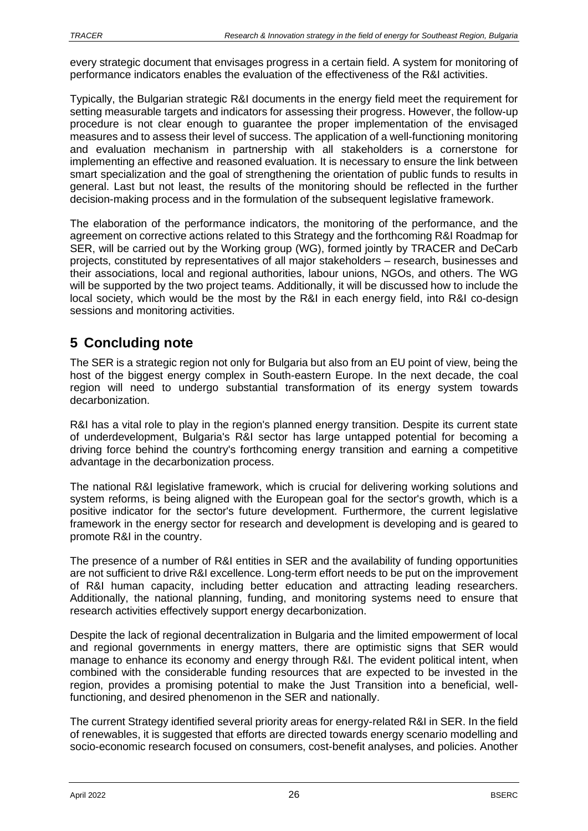every strategic document that envisages progress in a certain field. A system for monitoring of performance indicators enables the evaluation of the effectiveness of the R&I activities.

Typically, the Bulgarian strategic R&I documents in the energy field meet the requirement for setting measurable targets and indicators for assessing their progress. However, the follow-up procedure is not clear enough to guarantee the proper implementation of the envisaged measures and to assess their level of success. The application of a well-functioning monitoring and evaluation mechanism in partnership with all stakeholders is a cornerstone for implementing an effective and reasoned evaluation. It is necessary to ensure the link between smart specialization and the goal of strengthening the orientation of public funds to results in general. Last but not least, the results of the monitoring should be reflected in the further decision-making process and in the formulation of the subsequent legislative framework.

The elaboration of the performance indicators, the monitoring of the performance, and the agreement on corrective actions related to this Strategy and the forthcoming R&I Roadmap for SER, will be carried out by the Working group (WG), formed jointly by TRACER and DeCarb projects, constituted by representatives of all major stakeholders – research, businesses and their associations, local and regional authorities, labour unions, NGOs, and others. The WG will be supported by the two project teams. Additionally, it will be discussed how to include the local society, which would be the most by the R&I in each energy field, into R&I co-design sessions and monitoring activities.

# <span id="page-25-0"></span>**5 Concluding note**

The SER is a strategic region not only for Bulgaria but also from an EU point of view, being the host of the biggest energy complex in South-eastern Europe. In the next decade, the coal region will need to undergo substantial transformation of its energy system towards decarbonization.

R&I has a vital role to play in the region's planned energy transition. Despite its current state of underdevelopment, Bulgaria's R&I sector has large untapped potential for becoming a driving force behind the country's forthcoming energy transition and earning a competitive advantage in the decarbonization process.

The national R&I legislative framework, which is crucial for delivering working solutions and system reforms, is being aligned with the European goal for the sector's growth, which is a positive indicator for the sector's future development. Furthermore, the current legislative framework in the energy sector for research and development is developing and is geared to promote R&I in the country.

The presence of a number of R&I entities in SER and the availability of funding opportunities are not sufficient to drive R&I excellence. Long-term effort needs to be put on the improvement of R&I human capacity, including better education and attracting leading researchers. Additionally, the national planning, funding, and monitoring systems need to ensure that research activities effectively support energy decarbonization.

Despite the lack of regional decentralization in Bulgaria and the limited empowerment of local and regional governments in energy matters, there are optimistic signs that SER would manage to enhance its economy and energy through R&I. The evident political intent, when combined with the considerable funding resources that are expected to be invested in the region, provides a promising potential to make the Just Transition into a beneficial, wellfunctioning, and desired phenomenon in the SER and nationally.

The current Strategy identified several priority areas for energy-related R&I in SER. In the field of renewables, it is suggested that efforts are directed towards energy scenario modelling and socio-economic research focused on consumers, cost-benefit analyses, and policies. Another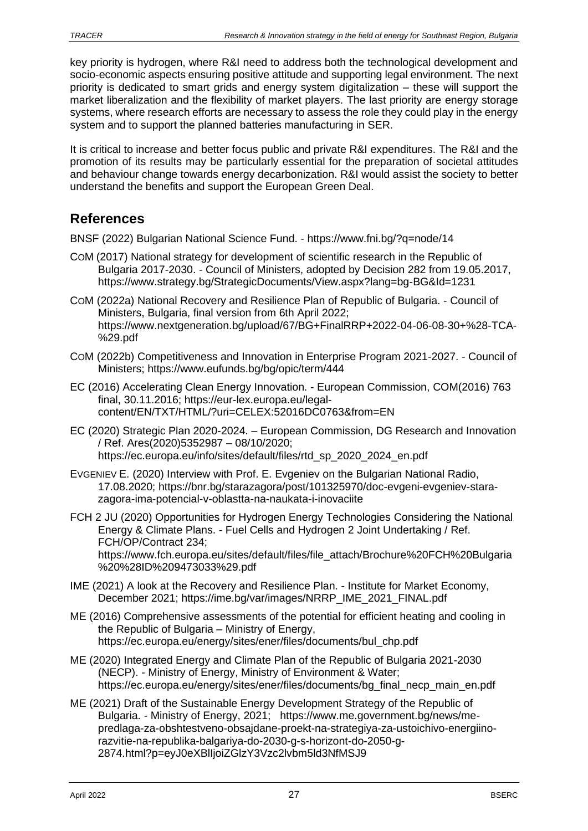key priority is hydrogen, where R&I need to address both the technological development and socio-economic aspects ensuring positive attitude and supporting legal environment. The next priority is dedicated to smart grids and energy system digitalization – these will support the market liberalization and the flexibility of market players. The last priority are energy storage systems, where research efforts are necessary to assess the role they could play in the energy system and to support the planned batteries manufacturing in SER.

It is critical to increase and better focus public and private R&I expenditures. The R&I and the promotion of its results may be particularly essential for the preparation of societal attitudes and behaviour change towards energy decarbonization. R&I would assist the society to better understand the benefits and support the European Green Deal.

# <span id="page-26-0"></span>**References**

BNSF (2022) Bulgarian National Science Fund. - https://www.fni.bg/?q=node/14

- COM (2017) National strategy for development of scientific research in the Republic of Bulgaria 2017-2030. - Council of Ministers, adopted by Decision 282 from 19.05.2017, https://www.strategy.bg/StrategicDocuments/View.aspx?lang=bg-BG&Id=1231
- COM (2022a) National Recovery and Resilience Plan of Republic of Bulgaria. Council of Ministers, Bulgaria, final version from 6th April 2022; https://www.nextgeneration.bg/upload/67/BG+FinalRRP+2022-04-06-08-30+%28-TCA- %29.pdf
- COM (2022b) Competitiveness and Innovation in Enterprise Program 2021-2027. Council of Ministers; https://www.eufunds.bg/bg/opic/term/444
- EC (2016) Accelerating Clean Energy Innovation. European Commission, COM(2016) 763 final, 30.11.2016; https://eur-lex.europa.eu/legalcontent/EN/TXT/HTML/?uri=CELEX:52016DC0763&from=EN
- EC (2020) Strategic Plan 2020-2024. European Commission, DG Research and Innovation / Ref. Ares(2020)5352987 – 08/10/2020; https://ec.europa.eu/info/sites/default/files/rtd\_sp\_2020\_2024\_en.pdf
- EVGENIEV E. (2020) Interview with Prof. E. Evgeniev on the Bulgarian National Radio, 17.08.2020; https://bnr.bg/starazagora/post/101325970/doc-evgeni-evgeniev-starazagora-ima-potencial-v-oblastta-na-naukata-i-inovaciite
- FCH 2 JU (2020) Opportunities for Hydrogen Energy Technologies Considering the National Energy & Climate Plans. - Fuel Cells and Hydrogen 2 Joint Undertaking / Ref. FCH/OP/Contract 234; https://www.fch.europa.eu/sites/default/files/file\_attach/Brochure%20FCH%20Bulgaria %20%28ID%209473033%29.pdf
- IME (2021) A look at the Recovery and Resilience Plan. Institute for Market Economy, December 2021; https://ime.bg/var/images/NRRP\_IME\_2021\_FINAL.pdf
- ME (2016) Comprehensive assessments of the potential for efficient heating and cooling in the Republic of Bulgaria – Ministry of Energy, https://ec.europa.eu/energy/sites/ener/files/documents/bul\_chp.pdf
- ME (2020) Integrated Energy and Climate Plan of the Republic of Bulgaria 2021-2030 (NECP). - Ministry of Energy, Ministry of Environment & Water; https://ec.europa.eu/energy/sites/ener/files/documents/bg\_final\_necp\_main\_en.pdf
- ME (2021) Draft of the Sustainable Energy Development Strategy of the Republic of Bulgaria. - Ministry of Energy, 2021; https://www.me.government.bg/news/mepredlaga-za-obshtestveno-obsajdane-proekt-na-strategiya-za-ustoichivo-energiinorazvitie-na-republika-balgariya-do-2030-g-s-horizont-do-2050-g-2874.html?p=eyJ0eXBlIjoiZGlzY3Vzc2lvbm5ld3NfMSJ9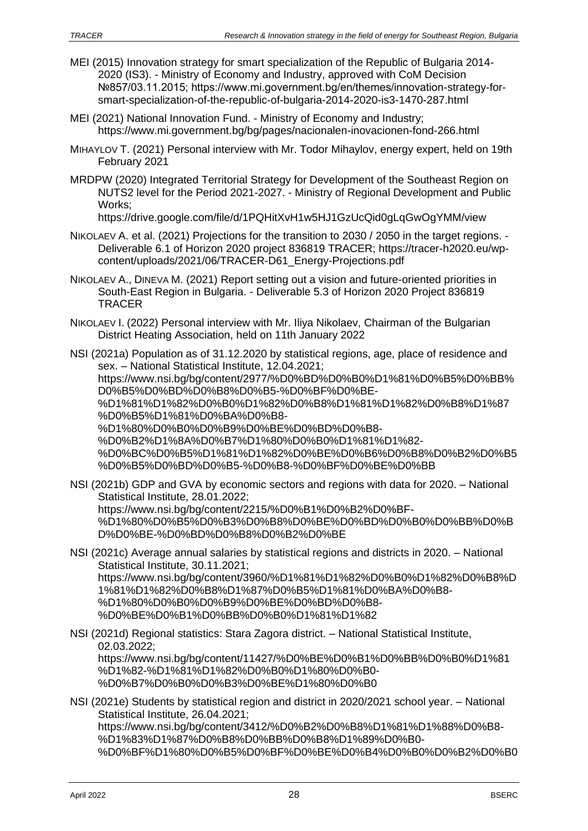- MEI (2015) Innovation strategy for smart specialization of the Republic of Bulgaria 2014- 2020 (IS3). - Ministry of Economy and Industry, approved with CoM Decision №857/03.11.2015; https://www.mi.government.bg/en/themes/innovation-strategy-forsmart-specialization-of-the-republic-of-bulgaria-2014-2020-is3-1470-287.html
- MEI (2021) National Innovation Fund. Ministry of Economy and Industry; https://www.mi.government.bg/bg/pages/nacionalen-inovacionen-fond-266.html
- MIHAYLOV T. (2021) Personal interview with Mr. Todor Mihaylov, energy expert, held on 19th February 2021
- MRDPW (2020) Integrated Territorial Strategy for Development of the Southeast Region on NUTS2 level for the Period 2021-2027. - Ministry of Regional Development and Public Works;

https://drive.google.com/file/d/1PQHitXvH1w5HJ1GzUcQid0gLqGwOgYMM/view

- NIKOLAEV A. et al. (2021) Projections for the transition to 2030 / 2050 in the target regions. Deliverable 6.1 of Horizon 2020 project 836819 TRACER; https://tracer-h2020.eu/wpcontent/uploads/2021/06/TRACER-D61\_Energy-Projections.pdf
- NIKOLAEV A., DINEVA M. (2021) Report setting out a vision and future-oriented priorities in South-East Region in Bulgaria. - Deliverable 5.3 of Horizon 2020 Project 836819 **TRACER**
- NIKOLAEV I. (2022) Personal interview with Mr. Iliya Nikolaev, Chairman of the Bulgarian District Heating Association, held on 11th January 2022

NSI (2021a) Population as of 31.12.2020 by statistical regions, age, place of residence and sex. – National Statistical Institute, 12.04.2021; https://www.nsi.bg/bg/content/2977/%D0%BD%D0%B0%D1%81%D0%B5%D0%BB% D0%B5%D0%BD%D0%B8%D0%B5-%D0%BF%D0%BE- %D1%81%D1%82%D0%B0%D1%82%D0%B8%D1%81%D1%82%D0%B8%D1%87 %D0%B5%D1%81%D0%BA%D0%B8- %D1%80%D0%B0%D0%B9%D0%BE%D0%BD%D0%B8- %D0%B2%D1%8A%D0%B7%D1%80%D0%B0%D1%81%D1%82- %D0%BC%D0%B5%D1%81%D1%82%D0%BE%D0%B6%D0%B8%D0%B2%D0%B5 %D0%B5%D0%BD%D0%B5-%D0%B8-%D0%BF%D0%BE%D0%BB

NSI (2021b) GDP and GVA by economic sectors and regions with data for 2020. – National Statistical Institute, 28.01.2022; https://www.nsi.bg/bg/content/2215/%D0%B1%D0%B2%D0%BF- %D1%80%D0%B5%D0%B3%D0%B8%D0%BE%D0%BD%D0%B0%D0%BB%D0%B D%D0%BE-%D0%BD%D0%B8%D0%B2%D0%BE

- NSI (2021c) Average annual salaries by statistical regions and districts in 2020. National Statistical Institute, 30.11.2021; https://www.nsi.bg/bg/content/3960/%D1%81%D1%82%D0%B0%D1%82%D0%B8%D 1%81%D1%82%D0%B8%D1%87%D0%B5%D1%81%D0%BA%D0%B8- %D1%80%D0%B0%D0%B9%D0%BE%D0%BD%D0%B8- %D0%BE%D0%B1%D0%BB%D0%B0%D1%81%D1%82
- NSI (2021d) Regional statistics: Stara Zagora district. National Statistical Institute, 02.03.2022; https://www.nsi.bg/bg/content/11427/%D0%BE%D0%B1%D0%BB%D0%B0%D1%81 %D1%82-%D1%81%D1%82%D0%B0%D1%80%D0%B0- %D0%B7%D0%B0%D0%B3%D0%BE%D1%80%D0%B0
- NSI (2021e) Students by statistical region and district in 2020/2021 school year. National Statistical Institute, 26.04.2021; https://www.nsi.bg/bg/content/3412/%D0%B2%D0%B8%D1%81%D1%88%D0%B8- %D1%83%D1%87%D0%B8%D0%BB%D0%B8%D1%89%D0%B0- %D0%BF%D1%80%D0%B5%D0%BF%D0%BE%D0%B4%D0%B0%D0%B2%D0%B0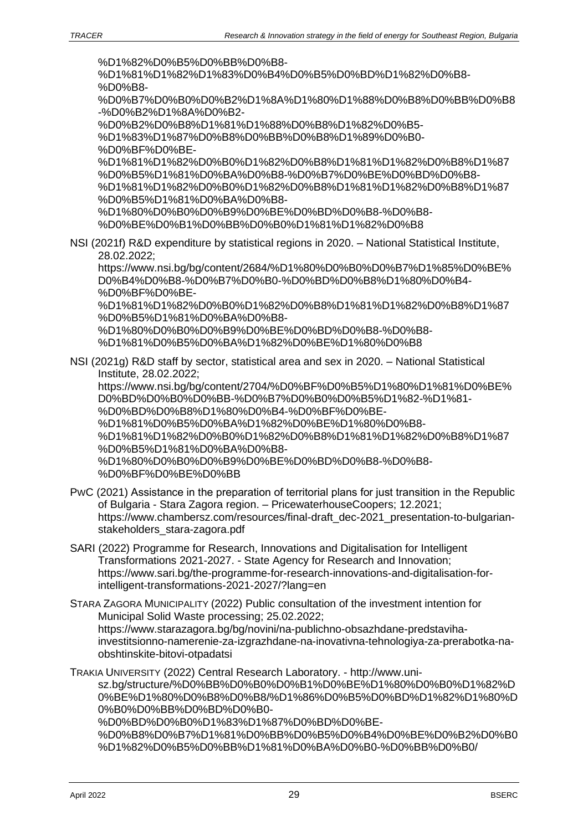%D1%82%D0%B5%D0%BB%D0%B8-

%D1%81%D1%82%D1%83%D0%B4%D0%B5%D0%BD%D1%82%D0%B8- %D0%B8- %D0%B7%D0%B0%D0%B2%D1%8A%D1%80%D1%88%D0%B8%D0%BB%D0%B8

-%D0%B2%D1%8A%D0%B2-

%D0%B2%D0%B8%D1%81%D1%88%D0%B8%D1%82%D0%B5-

%D1%83%D1%87%D0%B8%D0%BB%D0%B8%D1%89%D0%B0- %D0%BF%D0%BE-

%D1%81%D1%82%D0%B0%D1%82%D0%B8%D1%81%D1%82%D0%B8%D1%87 %D0%B5%D1%81%D0%BA%D0%B8-%D0%B7%D0%BE%D0%BD%D0%B8- %D1%81%D1%82%D0%B0%D1%82%D0%B8%D1%81%D1%82%D0%B8%D1%87 %D0%B5%D1%81%D0%BA%D0%B8-

%D1%80%D0%B0%D0%B9%D0%BE%D0%BD%D0%B8-%D0%B8- %D0%BE%D0%B1%D0%BB%D0%B0%D1%81%D1%82%D0%B8

NSI (2021f) R&D expenditure by statistical regions in 2020. – National Statistical Institute, 28.02.2022;

https://www.nsi.bg/bg/content/2684/%D1%80%D0%B0%D0%B7%D1%85%D0%BE% D0%B4%D0%B8-%D0%B7%D0%B0-%D0%BD%D0%B8%D1%80%D0%B4- %D0%BF%D0%BE-

%D1%81%D1%82%D0%B0%D1%82%D0%B8%D1%81%D1%82%D0%B8%D1%87 %D0%B5%D1%81%D0%BA%D0%B8-

%D1%80%D0%B0%D0%B9%D0%BE%D0%BD%D0%B8-%D0%B8- %D1%81%D0%B5%D0%BA%D1%82%D0%BE%D1%80%D0%B8

NSI (2021g) R&D staff by sector, statistical area and sex in 2020. – National Statistical Institute, 28.02.2022;

https://www.nsi.bg/bg/content/2704/%D0%BF%D0%B5%D1%80%D1%81%D0%BE% D0%BD%D0%B0%D0%BB-%D0%B7%D0%B0%D0%B5%D1%82-%D1%81- %D0%BD%D0%B8%D1%80%D0%B4-%D0%BF%D0%BE-

%D1%81%D0%B5%D0%BA%D1%82%D0%BE%D1%80%D0%B8-

%D1%81%D1%82%D0%B0%D1%82%D0%B8%D1%81%D1%82%D0%B8%D1%87 %D0%B5%D1%81%D0%BA%D0%B8-

%D1%80%D0%B0%D0%B9%D0%BE%D0%BD%D0%B8-%D0%B8- %D0%BF%D0%BE%D0%BB

- PWC (2021) Аssistance in the preparation of territorial plans for just transition in the Republic of Bulgaria - Stara Zagora region. – PricewaterhouseCoopers; 12.2021; https://www.chambersz.com/resources/final-draft\_dec-2021\_presentation-to-bulgarianstakeholders\_stara-zagora.pdf
- SARI (2022) Programme for Research, Innovations and Digitalisation for Intelligent Transformations 2021-2027. - State Agency for Research and Innovation; https://www.sari.bg/the-programme-for-research-innovations-and-digitalisation-forintelligent-transformations-2021-2027/?lang=en

STARA ZAGORA MUNICIPALITY (2022) Public consultation of the investment intention for Municipal Solid Waste processing; 25.02.2022; https://www.starazagora.bg/bg/novini/na-publichno-obsazhdane-predstavihainvestitsionno-namerenie-za-izgrazhdane-na-inovativna-tehnologiya-za-prerabotka-naobshtinskite-bitovi-otpadatsi

TRAKIA UNIVERSITY (2022) Central Research Laboratory. - http://www.unisz.bg/structure/%D0%BB%D0%B0%D0%B1%D0%BE%D1%80%D0%B0%D1%82%D 0%BE%D1%80%D0%B8%D0%B8/%D1%86%D0%B5%D0%BD%D1%82%D1%80%D 0%B0%D0%BB%D0%BD%D0%B0- %D0%BD%D0%B0%D1%83%D1%87%D0%BD%D0%BE- %D0%B8%D0%B7%D1%81%D0%BB%D0%B5%D0%B4%D0%BE%D0%B2%D0%B0 %D1%82%D0%B5%D0%BB%D1%81%D0%BA%D0%B0-%D0%BB%D0%B0/